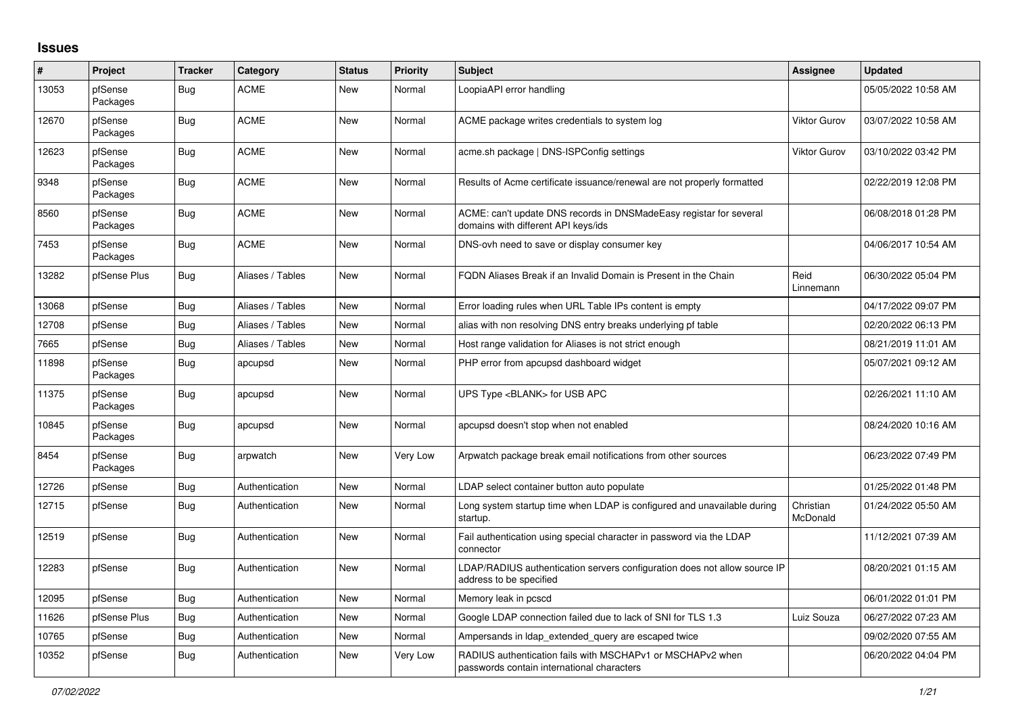## **Issues**

| #     | Project             | <b>Tracker</b> | Category         | <b>Status</b> | Priority | <b>Subject</b>                                                                                            | Assignee              | <b>Updated</b>      |
|-------|---------------------|----------------|------------------|---------------|----------|-----------------------------------------------------------------------------------------------------------|-----------------------|---------------------|
| 13053 | pfSense<br>Packages | Bug            | <b>ACME</b>      | <b>New</b>    | Normal   | LoopiaAPI error handling                                                                                  |                       | 05/05/2022 10:58 AM |
| 12670 | pfSense<br>Packages | Bug            | <b>ACME</b>      | <b>New</b>    | Normal   | ACME package writes credentials to system log                                                             | <b>Viktor Gurov</b>   | 03/07/2022 10:58 AM |
| 12623 | pfSense<br>Packages | Bug            | <b>ACME</b>      | New           | Normal   | acme.sh package   DNS-ISPConfig settings                                                                  | <b>Viktor Gurov</b>   | 03/10/2022 03:42 PM |
| 9348  | pfSense<br>Packages | Bug            | <b>ACME</b>      | New           | Normal   | Results of Acme certificate issuance/renewal are not properly formatted                                   |                       | 02/22/2019 12:08 PM |
| 8560  | pfSense<br>Packages | Bug            | <b>ACME</b>      | <b>New</b>    | Normal   | ACME: can't update DNS records in DNSMadeEasy registar for several<br>domains with different API keys/ids |                       | 06/08/2018 01:28 PM |
| 7453  | pfSense<br>Packages | <b>Bug</b>     | <b>ACME</b>      | <b>New</b>    | Normal   | DNS-ovh need to save or display consumer key                                                              |                       | 04/06/2017 10:54 AM |
| 13282 | pfSense Plus        | <b>Bug</b>     | Aliases / Tables | <b>New</b>    | Normal   | FQDN Aliases Break if an Invalid Domain is Present in the Chain                                           | Reid<br>Linnemann     | 06/30/2022 05:04 PM |
| 13068 | pfSense             | <b>Bug</b>     | Aliases / Tables | <b>New</b>    | Normal   | Error loading rules when URL Table IPs content is empty                                                   |                       | 04/17/2022 09:07 PM |
| 12708 | pfSense             | <b>Bug</b>     | Aliases / Tables | <b>New</b>    | Normal   | alias with non resolving DNS entry breaks underlying pf table                                             |                       | 02/20/2022 06:13 PM |
| 7665  | pfSense             | Bug            | Aliases / Tables | New           | Normal   | Host range validation for Aliases is not strict enough                                                    |                       | 08/21/2019 11:01 AM |
| 11898 | pfSense<br>Packages | <b>Bug</b>     | apcupsd          | New           | Normal   | PHP error from apcupsd dashboard widget                                                                   |                       | 05/07/2021 09:12 AM |
| 11375 | pfSense<br>Packages | <b>Bug</b>     | apcupsd          | <b>New</b>    | Normal   | UPS Type <blank> for USB APC</blank>                                                                      |                       | 02/26/2021 11:10 AM |
| 10845 | pfSense<br>Packages | Bug            | apcupsd          | <b>New</b>    | Normal   | apcupsd doesn't stop when not enabled                                                                     |                       | 08/24/2020 10:16 AM |
| 8454  | pfSense<br>Packages | <b>Bug</b>     | arpwatch         | <b>New</b>    | Very Low | Arpwatch package break email notifications from other sources                                             |                       | 06/23/2022 07:49 PM |
| 12726 | pfSense             | <b>Bug</b>     | Authentication   | <b>New</b>    | Normal   | LDAP select container button auto populate                                                                |                       | 01/25/2022 01:48 PM |
| 12715 | pfSense             | <b>Bug</b>     | Authentication   | New           | Normal   | Long system startup time when LDAP is configured and unavailable during<br>startup.                       | Christian<br>McDonald | 01/24/2022 05:50 AM |
| 12519 | pfSense             | <b>Bug</b>     | Authentication   | New           | Normal   | Fail authentication using special character in password via the LDAP<br>connector                         |                       | 11/12/2021 07:39 AM |
| 12283 | pfSense             | <b>Bug</b>     | Authentication   | New           | Normal   | LDAP/RADIUS authentication servers configuration does not allow source IP<br>address to be specified      |                       | 08/20/2021 01:15 AM |
| 12095 | pfSense             | <b>Bug</b>     | Authentication   | <b>New</b>    | Normal   | Memory leak in pcscd                                                                                      |                       | 06/01/2022 01:01 PM |
| 11626 | pfSense Plus        | Bug            | Authentication   | <b>New</b>    | Normal   | Google LDAP connection failed due to lack of SNI for TLS 1.3                                              | Luiz Souza            | 06/27/2022 07:23 AM |
| 10765 | pfSense             | <b>Bug</b>     | Authentication   | <b>New</b>    | Normal   | Ampersands in Idap_extended_query are escaped twice                                                       |                       | 09/02/2020 07:55 AM |
| 10352 | pfSense             | <b>Bug</b>     | Authentication   | New           | Very Low | RADIUS authentication fails with MSCHAPv1 or MSCHAPv2 when<br>passwords contain international characters  |                       | 06/20/2022 04:04 PM |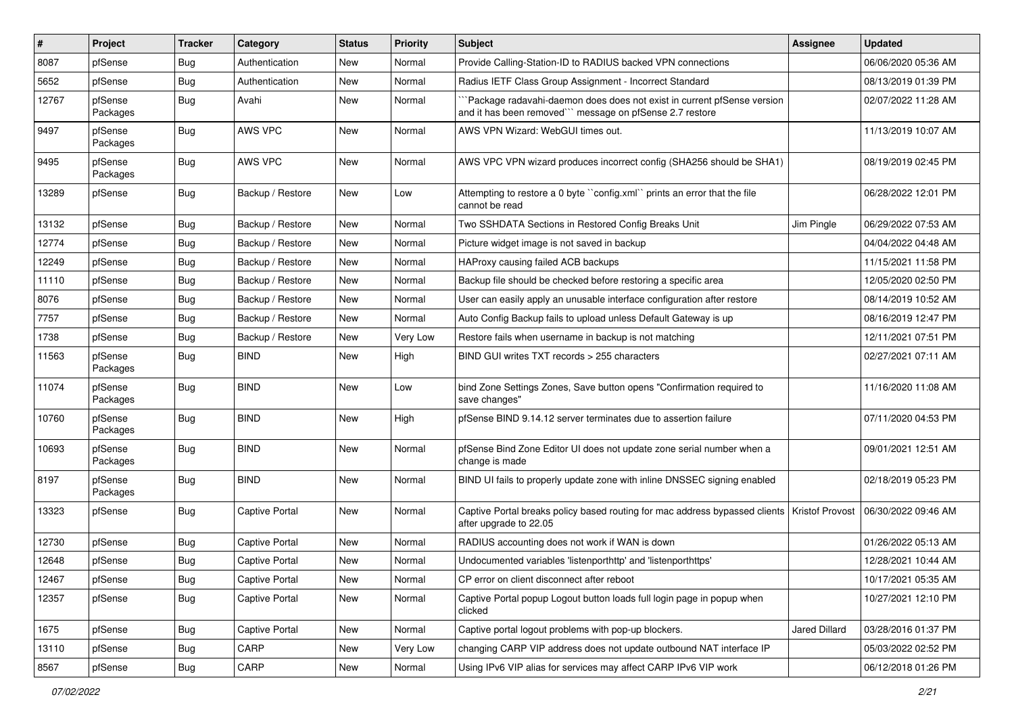| $\vert$ # | Project             | <b>Tracker</b> | Category              | <b>Status</b> | <b>Priority</b> | Subject                                                                                                                            | Assignee        | <b>Updated</b>      |
|-----------|---------------------|----------------|-----------------------|---------------|-----------------|------------------------------------------------------------------------------------------------------------------------------------|-----------------|---------------------|
| 8087      | pfSense             | Bug            | Authentication        | New           | Normal          | Provide Calling-Station-ID to RADIUS backed VPN connections                                                                        |                 | 06/06/2020 05:36 AM |
| 5652      | pfSense             | Bug            | Authentication        | New           | Normal          | Radius IETF Class Group Assignment - Incorrect Standard                                                                            |                 | 08/13/2019 01:39 PM |
| 12767     | pfSense<br>Packages | <b>Bug</b>     | Avahi                 | New           | Normal          | Package radavahi-daemon does does not exist in current pfSense version<br>and it has been removed"" message on pfSense 2.7 restore |                 | 02/07/2022 11:28 AM |
| 9497      | pfSense<br>Packages | <b>Bug</b>     | AWS VPC               | <b>New</b>    | Normal          | AWS VPN Wizard: WebGUI times out.                                                                                                  |                 | 11/13/2019 10:07 AM |
| 9495      | pfSense<br>Packages | <b>Bug</b>     | AWS VPC               | New           | Normal          | AWS VPC VPN wizard produces incorrect config (SHA256 should be SHA1)                                                               |                 | 08/19/2019 02:45 PM |
| 13289     | pfSense             | <b>Bug</b>     | Backup / Restore      | New           | Low             | Attempting to restore a 0 byte "config.xml" prints an error that the file<br>cannot be read                                        |                 | 06/28/2022 12:01 PM |
| 13132     | pfSense             | Bug            | Backup / Restore      | New           | Normal          | Two SSHDATA Sections in Restored Config Breaks Unit                                                                                | Jim Pingle      | 06/29/2022 07:53 AM |
| 12774     | pfSense             | Bug            | Backup / Restore      | New           | Normal          | Picture widget image is not saved in backup                                                                                        |                 | 04/04/2022 04:48 AM |
| 12249     | pfSense             | <b>Bug</b>     | Backup / Restore      | New           | Normal          | HAProxy causing failed ACB backups                                                                                                 |                 | 11/15/2021 11:58 PM |
| 11110     | pfSense             | Bug            | Backup / Restore      | New           | Normal          | Backup file should be checked before restoring a specific area                                                                     |                 | 12/05/2020 02:50 PM |
| 8076      | pfSense             | Bug            | Backup / Restore      | New           | Normal          | User can easily apply an unusable interface configuration after restore                                                            |                 | 08/14/2019 10:52 AM |
| 7757      | pfSense             | Bug            | Backup / Restore      | <b>New</b>    | Normal          | Auto Config Backup fails to upload unless Default Gateway is up                                                                    |                 | 08/16/2019 12:47 PM |
| 1738      | pfSense             | Bug            | Backup / Restore      | New           | Very Low        | Restore fails when username in backup is not matching                                                                              |                 | 12/11/2021 07:51 PM |
| 11563     | pfSense<br>Packages | Bug            | <b>BIND</b>           | <b>New</b>    | High            | BIND GUI writes TXT records > 255 characters                                                                                       |                 | 02/27/2021 07:11 AM |
| 11074     | pfSense<br>Packages | <b>Bug</b>     | <b>BIND</b>           | <b>New</b>    | Low             | bind Zone Settings Zones, Save button opens "Confirmation required to<br>save changes"                                             |                 | 11/16/2020 11:08 AM |
| 10760     | pfSense<br>Packages | Bug            | <b>BIND</b>           | New           | High            | pfSense BIND 9.14.12 server terminates due to assertion failure                                                                    |                 | 07/11/2020 04:53 PM |
| 10693     | pfSense<br>Packages | Bug            | <b>BIND</b>           | <b>New</b>    | Normal          | pfSense Bind Zone Editor UI does not update zone serial number when a<br>change is made                                            |                 | 09/01/2021 12:51 AM |
| 8197      | pfSense<br>Packages | <b>Bug</b>     | <b>BIND</b>           | New           | Normal          | BIND UI fails to properly update zone with inline DNSSEC signing enabled                                                           |                 | 02/18/2019 05:23 PM |
| 13323     | pfSense             | <b>Bug</b>     | <b>Captive Portal</b> | <b>New</b>    | Normal          | Captive Portal breaks policy based routing for mac address bypassed clients<br>after upgrade to 22.05                              | Kristof Provost | 06/30/2022 09:46 AM |
| 12730     | pfSense             | Bug            | <b>Captive Portal</b> | New           | Normal          | RADIUS accounting does not work if WAN is down                                                                                     |                 | 01/26/2022 05:13 AM |
| 12648     | pfSense             | Bug            | <b>Captive Portal</b> | New           | Normal          | Undocumented variables 'listenporthttp' and 'listenporthttps'                                                                      |                 | 12/28/2021 10:44 AM |
| 12467     | pfSense             | Bug            | <b>Captive Portal</b> | New           | Normal          | CP error on client disconnect after reboot                                                                                         |                 | 10/17/2021 05:35 AM |
| 12357     | pfSense             | <b>Bug</b>     | <b>Captive Portal</b> | New           | Normal          | Captive Portal popup Logout button loads full login page in popup when<br>clicked                                                  |                 | 10/27/2021 12:10 PM |
| 1675      | pfSense             | <b>Bug</b>     | <b>Captive Portal</b> | New           | Normal          | Captive portal logout problems with pop-up blockers.                                                                               | Jared Dillard   | 03/28/2016 01:37 PM |
| 13110     | pfSense             | <b>Bug</b>     | CARP                  | New           | Very Low        | changing CARP VIP address does not update outbound NAT interface IP                                                                |                 | 05/03/2022 02:52 PM |
| 8567      | pfSense             | <b>Bug</b>     | CARP                  | New           | Normal          | Using IPv6 VIP alias for services may affect CARP IPv6 VIP work                                                                    |                 | 06/12/2018 01:26 PM |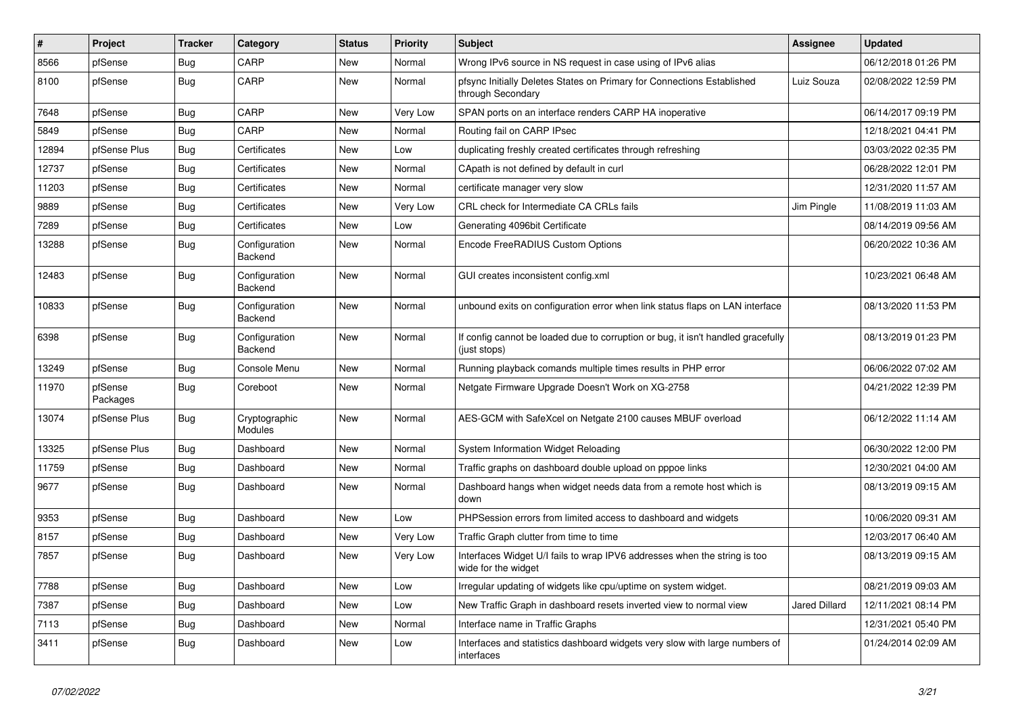| #     | Project             | <b>Tracker</b> | Category                 | <b>Status</b> | <b>Priority</b> | <b>Subject</b>                                                                                   | Assignee             | <b>Updated</b>      |
|-------|---------------------|----------------|--------------------------|---------------|-----------------|--------------------------------------------------------------------------------------------------|----------------------|---------------------|
| 8566  | pfSense             | <b>Bug</b>     | CARP                     | <b>New</b>    | Normal          | Wrong IPv6 source in NS request in case using of IPv6 alias                                      |                      | 06/12/2018 01:26 PM |
| 8100  | pfSense             | Bug            | CARP                     | New           | Normal          | pfsync Initially Deletes States on Primary for Connections Established<br>through Secondary      | Luiz Souza           | 02/08/2022 12:59 PM |
| 7648  | pfSense             | Bug            | CARP                     | New           | Very Low        | SPAN ports on an interface renders CARP HA inoperative                                           |                      | 06/14/2017 09:19 PM |
| 5849  | pfSense             | Bug            | CARP                     | <b>New</b>    | Normal          | Routing fail on CARP IPsec                                                                       |                      | 12/18/2021 04:41 PM |
| 12894 | pfSense Plus        | Bug            | Certificates             | New           | Low             | duplicating freshly created certificates through refreshing                                      |                      | 03/03/2022 02:35 PM |
| 12737 | pfSense             | Bug            | Certificates             | New           | Normal          | CApath is not defined by default in curl                                                         |                      | 06/28/2022 12:01 PM |
| 11203 | pfSense             | Bug            | Certificates             | New           | Normal          | certificate manager very slow                                                                    |                      | 12/31/2020 11:57 AM |
| 9889  | pfSense             | Bug            | Certificates             | New           | Very Low        | CRL check for Intermediate CA CRLs fails                                                         | Jim Pingle           | 11/08/2019 11:03 AM |
| 7289  | pfSense             | Bug            | Certificates             | <b>New</b>    | Low             | Generating 4096bit Certificate                                                                   |                      | 08/14/2019 09:56 AM |
| 13288 | pfSense             | Bug            | Configuration<br>Backend | New           | Normal          | Encode FreeRADIUS Custom Options                                                                 |                      | 06/20/2022 10:36 AM |
| 12483 | pfSense             | <b>Bug</b>     | Configuration<br>Backend | <b>New</b>    | Normal          | GUI creates inconsistent config.xml                                                              |                      | 10/23/2021 06:48 AM |
| 10833 | pfSense             | <b>Bug</b>     | Configuration<br>Backend | New           | Normal          | unbound exits on configuration error when link status flaps on LAN interface                     |                      | 08/13/2020 11:53 PM |
| 6398  | pfSense             | Bug            | Configuration<br>Backend | <b>New</b>    | Normal          | If config cannot be loaded due to corruption or bug, it isn't handled gracefully<br>(just stops) |                      | 08/13/2019 01:23 PM |
| 13249 | pfSense             | Bug            | Console Menu             | <b>New</b>    | Normal          | Running playback comands multiple times results in PHP error                                     |                      | 06/06/2022 07:02 AM |
| 11970 | pfSense<br>Packages | Bug            | Coreboot                 | New           | Normal          | Netgate Firmware Upgrade Doesn't Work on XG-2758                                                 |                      | 04/21/2022 12:39 PM |
| 13074 | pfSense Plus        | Bug            | Cryptographic<br>Modules | New           | Normal          | AES-GCM with SafeXcel on Netgate 2100 causes MBUF overload                                       |                      | 06/12/2022 11:14 AM |
| 13325 | pfSense Plus        | Bug            | Dashboard                | New           | Normal          | System Information Widget Reloading                                                              |                      | 06/30/2022 12:00 PM |
| 11759 | pfSense             | <b>Bug</b>     | Dashboard                | <b>New</b>    | Normal          | Traffic graphs on dashboard double upload on pppoe links                                         |                      | 12/30/2021 04:00 AM |
| 9677  | pfSense             | <b>Bug</b>     | Dashboard                | <b>New</b>    | Normal          | Dashboard hangs when widget needs data from a remote host which is<br>down                       |                      | 08/13/2019 09:15 AM |
| 9353  | pfSense             | Bug            | Dashboard                | New           | Low             | PHPSession errors from limited access to dashboard and widgets                                   |                      | 10/06/2020 09:31 AM |
| 8157  | pfSense             | Bug            | Dashboard                | New           | Very Low        | Traffic Graph clutter from time to time                                                          |                      | 12/03/2017 06:40 AM |
| 7857  | pfSense             | Bug            | Dashboard                | New           | Very Low        | Interfaces Widget U/I fails to wrap IPV6 addresses when the string is too<br>wide for the widget |                      | 08/13/2019 09:15 AM |
| 7788  | pfSense             | Bug            | Dashboard                | <b>New</b>    | Low             | Irregular updating of widgets like cpu/uptime on system widget.                                  |                      | 08/21/2019 09:03 AM |
| 7387  | pfSense             | Bug            | Dashboard                | New           | Low             | New Traffic Graph in dashboard resets inverted view to normal view                               | <b>Jared Dillard</b> | 12/11/2021 08:14 PM |
| 7113  | pfSense             | Bug            | Dashboard                | New           | Normal          | Interface name in Traffic Graphs                                                                 |                      | 12/31/2021 05:40 PM |
| 3411  | pfSense             | Bug            | Dashboard                | New           | Low             | Interfaces and statistics dashboard widgets very slow with large numbers of<br>interfaces        |                      | 01/24/2014 02:09 AM |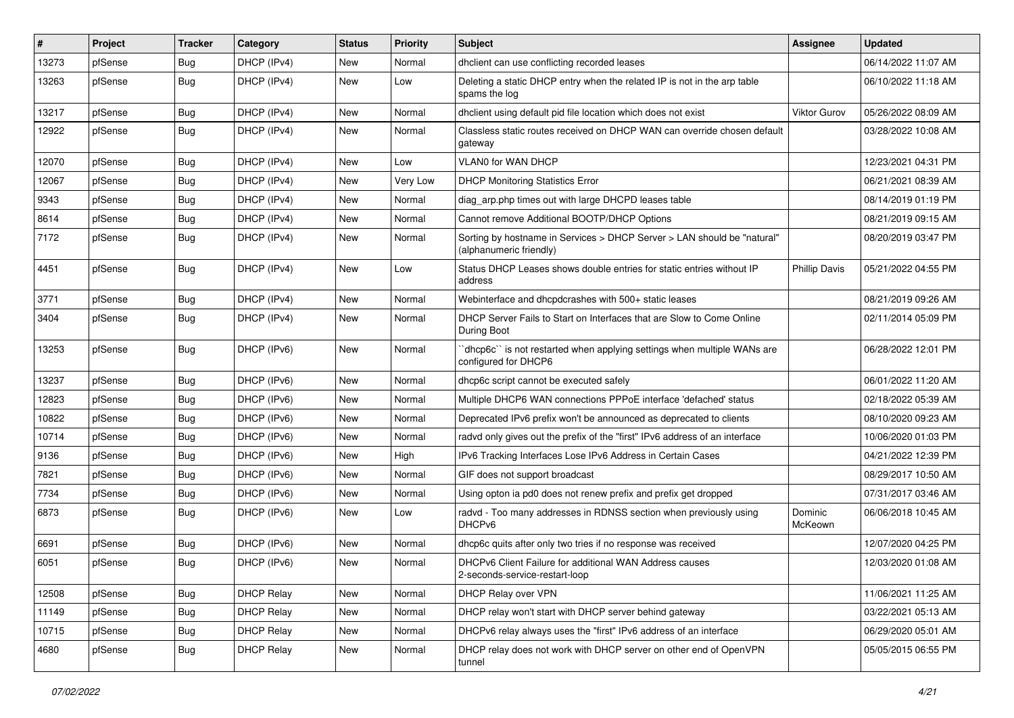| #     | Project | <b>Tracker</b> | Category          | <b>Status</b> | <b>Priority</b> | <b>Subject</b>                                                                                     | Assignee             | <b>Updated</b>      |
|-------|---------|----------------|-------------------|---------------|-----------------|----------------------------------------------------------------------------------------------------|----------------------|---------------------|
| 13273 | pfSense | Bug            | DHCP (IPv4)       | New           | Normal          | dhclient can use conflicting recorded leases                                                       |                      | 06/14/2022 11:07 AM |
| 13263 | pfSense | Bug            | DHCP (IPv4)       | New           | Low             | Deleting a static DHCP entry when the related IP is not in the arp table<br>spams the log          |                      | 06/10/2022 11:18 AM |
| 13217 | pfSense | Bug            | DHCP (IPv4)       | <b>New</b>    | Normal          | dhclient using default pid file location which does not exist                                      | <b>Viktor Gurov</b>  | 05/26/2022 08:09 AM |
| 12922 | pfSense | <b>Bug</b>     | DHCP (IPv4)       | New           | Normal          | Classless static routes received on DHCP WAN can override chosen default<br>gateway                |                      | 03/28/2022 10:08 AM |
| 12070 | pfSense | Bug            | DHCP (IPv4)       | New           | Low             | VLAN0 for WAN DHCP                                                                                 |                      | 12/23/2021 04:31 PM |
| 12067 | pfSense | Bug            | DHCP (IPv4)       | <b>New</b>    | Very Low        | <b>DHCP Monitoring Statistics Error</b>                                                            |                      | 06/21/2021 08:39 AM |
| 9343  | pfSense | Bug            | DHCP (IPv4)       | New           | Normal          | diag_arp.php times out with large DHCPD leases table                                               |                      | 08/14/2019 01:19 PM |
| 8614  | pfSense | Bug            | DHCP (IPv4)       | New           | Normal          | Cannot remove Additional BOOTP/DHCP Options                                                        |                      | 08/21/2019 09:15 AM |
| 7172  | pfSense | Bug            | DHCP (IPv4)       | New           | Normal          | Sorting by hostname in Services > DHCP Server > LAN should be "natural"<br>(alphanumeric friendly) |                      | 08/20/2019 03:47 PM |
| 4451  | pfSense | <b>Bug</b>     | DHCP (IPv4)       | <b>New</b>    | Low             | Status DHCP Leases shows double entries for static entries without IP<br>address                   | <b>Phillip Davis</b> | 05/21/2022 04:55 PM |
| 3771  | pfSense | Bug            | DHCP (IPv4)       | New           | Normal          | Webinterface and dhcpdcrashes with 500+ static leases                                              |                      | 08/21/2019 09:26 AM |
| 3404  | pfSense | <b>Bug</b>     | DHCP (IPv4)       | <b>New</b>    | Normal          | DHCP Server Fails to Start on Interfaces that are Slow to Come Online<br>During Boot               |                      | 02/11/2014 05:09 PM |
| 13253 | pfSense | Bug            | DHCP (IPv6)       | New           | Normal          | dhcp6c" is not restarted when applying settings when multiple WANs are<br>configured for DHCP6     |                      | 06/28/2022 12:01 PM |
| 13237 | pfSense | Bug            | DHCP (IPv6)       | <b>New</b>    | Normal          | dhcp6c script cannot be executed safely                                                            |                      | 06/01/2022 11:20 AM |
| 12823 | pfSense | Bug            | DHCP (IPv6)       | New           | Normal          | Multiple DHCP6 WAN connections PPPoE interface 'defached' status                                   |                      | 02/18/2022 05:39 AM |
| 10822 | pfSense | Bug            | DHCP (IPv6)       | New           | Normal          | Deprecated IPv6 prefix won't be announced as deprecated to clients                                 |                      | 08/10/2020 09:23 AM |
| 10714 | pfSense | Bug            | DHCP (IPv6)       | New           | Normal          | radyd only gives out the prefix of the "first" IPv6 address of an interface                        |                      | 10/06/2020 01:03 PM |
| 9136  | pfSense | Bug            | DHCP (IPv6)       | <b>New</b>    | High            | IPv6 Tracking Interfaces Lose IPv6 Address in Certain Cases                                        |                      | 04/21/2022 12:39 PM |
| 7821  | pfSense | Bug            | DHCP (IPv6)       | New           | Normal          | GIF does not support broadcast                                                                     |                      | 08/29/2017 10:50 AM |
| 7734  | pfSense | Bug            | DHCP (IPv6)       | New           | Normal          | Using opton ia pd0 does not renew prefix and prefix get dropped                                    |                      | 07/31/2017 03:46 AM |
| 6873  | pfSense | Bug            | DHCP (IPv6)       | New           | Low             | radvd - Too many addresses in RDNSS section when previously using<br>DHCP <sub>v6</sub>            | Dominic<br>McKeown   | 06/06/2018 10:45 AM |
| 6691  | pfSense | Bug            | DHCP (IPv6)       | <b>New</b>    | Normal          | dhcp6c quits after only two tries if no response was received                                      |                      | 12/07/2020 04:25 PM |
| 6051  | pfSense | Bug            | DHCP (IPv6)       | New           | Normal          | DHCPv6 Client Failure for additional WAN Address causes<br>2-seconds-service-restart-loop          |                      | 12/03/2020 01:08 AM |
| 12508 | pfSense | Bug            | <b>DHCP Relay</b> | New           | Normal          | DHCP Relay over VPN                                                                                |                      | 11/06/2021 11:25 AM |
| 11149 | pfSense | <b>Bug</b>     | <b>DHCP Relay</b> | New           | Normal          | DHCP relay won't start with DHCP server behind gateway                                             |                      | 03/22/2021 05:13 AM |
| 10715 | pfSense | <b>Bug</b>     | <b>DHCP Relay</b> | New           | Normal          | DHCPv6 relay always uses the "first" IPv6 address of an interface                                  |                      | 06/29/2020 05:01 AM |
| 4680  | pfSense | <b>Bug</b>     | <b>DHCP Relay</b> | New           | Normal          | DHCP relay does not work with DHCP server on other end of OpenVPN<br>tunnel                        |                      | 05/05/2015 06:55 PM |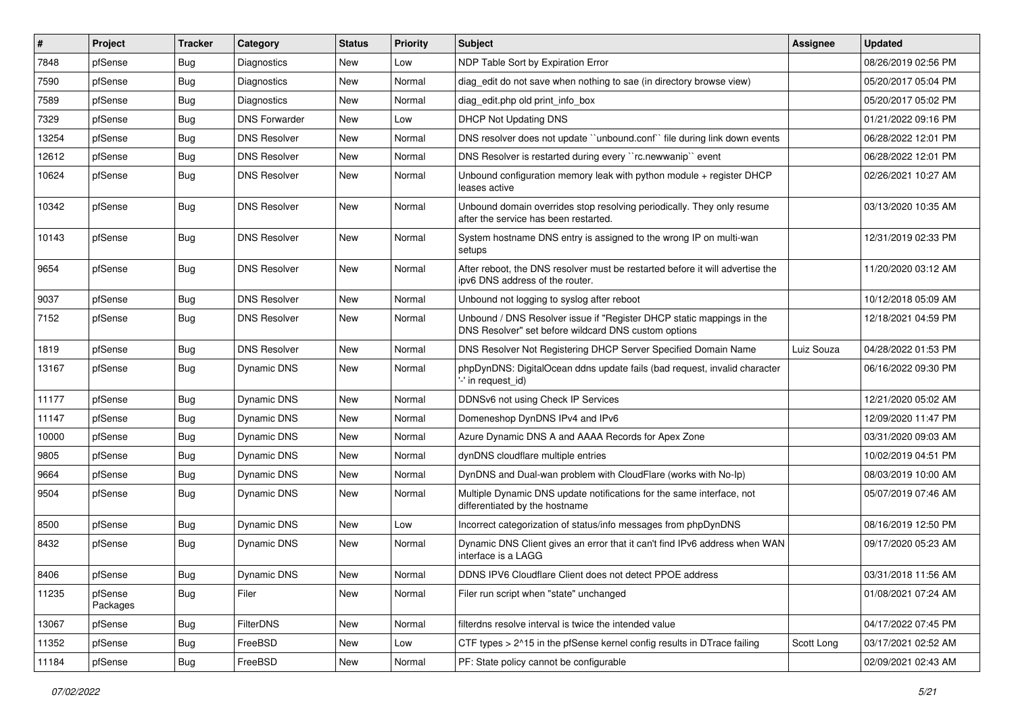| #     | Project             | <b>Tracker</b> | Category             | <b>Status</b> | <b>Priority</b> | <b>Subject</b>                                                                                                                | <b>Assignee</b> | <b>Updated</b>      |
|-------|---------------------|----------------|----------------------|---------------|-----------------|-------------------------------------------------------------------------------------------------------------------------------|-----------------|---------------------|
| 7848  | pfSense             | <b>Bug</b>     | Diagnostics          | New           | Low             | NDP Table Sort by Expiration Error                                                                                            |                 | 08/26/2019 02:56 PM |
| 7590  | pfSense             | Bug            | Diagnostics          | <b>New</b>    | Normal          | diag_edit do not save when nothing to sae (in directory browse view)                                                          |                 | 05/20/2017 05:04 PM |
| 7589  | pfSense             | <b>Bug</b>     | Diagnostics          | New           | Normal          | diag edit.php old print info box                                                                                              |                 | 05/20/2017 05:02 PM |
| 7329  | pfSense             | <b>Bug</b>     | <b>DNS Forwarder</b> | New           | Low             | <b>DHCP Not Updating DNS</b>                                                                                                  |                 | 01/21/2022 09:16 PM |
| 13254 | pfSense             | Bug            | <b>DNS Resolver</b>  | New           | Normal          | DNS resolver does not update "unbound.conf" file during link down events                                                      |                 | 06/28/2022 12:01 PM |
| 12612 | pfSense             | <b>Bug</b>     | <b>DNS Resolver</b>  | New           | Normal          | DNS Resolver is restarted during every "rc.newwanip" event                                                                    |                 | 06/28/2022 12:01 PM |
| 10624 | pfSense             | Bug            | <b>DNS Resolver</b>  | New           | Normal          | Unbound configuration memory leak with python module + register DHCP<br>leases active                                         |                 | 02/26/2021 10:27 AM |
| 10342 | pfSense             | Bug            | <b>DNS Resolver</b>  | New           | Normal          | Unbound domain overrides stop resolving periodically. They only resume<br>after the service has been restarted.               |                 | 03/13/2020 10:35 AM |
| 10143 | pfSense             | Bug            | <b>DNS Resolver</b>  | New           | Normal          | System hostname DNS entry is assigned to the wrong IP on multi-wan<br>setups                                                  |                 | 12/31/2019 02:33 PM |
| 9654  | pfSense             | <b>Bug</b>     | <b>DNS Resolver</b>  | New           | Normal          | After reboot, the DNS resolver must be restarted before it will advertise the<br>ipv6 DNS address of the router.              |                 | 11/20/2020 03:12 AM |
| 9037  | pfSense             | <b>Bug</b>     | <b>DNS Resolver</b>  | <b>New</b>    | Normal          | Unbound not logging to syslog after reboot                                                                                    |                 | 10/12/2018 05:09 AM |
| 7152  | pfSense             | Bug            | <b>DNS Resolver</b>  | New           | Normal          | Unbound / DNS Resolver issue if "Register DHCP static mappings in the<br>DNS Resolver" set before wildcard DNS custom options |                 | 12/18/2021 04:59 PM |
| 1819  | pfSense             | <b>Bug</b>     | <b>DNS Resolver</b>  | New           | Normal          | DNS Resolver Not Registering DHCP Server Specified Domain Name                                                                | Luiz Souza      | 04/28/2022 01:53 PM |
| 13167 | pfSense             | Bug            | Dynamic DNS          | New           | Normal          | phpDynDNS: DigitalOcean ddns update fails (bad request, invalid character<br>'-' in request id)                               |                 | 06/16/2022 09:30 PM |
| 11177 | pfSense             | <b>Bug</b>     | Dynamic DNS          | <b>New</b>    | Normal          | DDNSv6 not using Check IP Services                                                                                            |                 | 12/21/2020 05:02 AM |
| 11147 | pfSense             | <b>Bug</b>     | Dynamic DNS          | New           | Normal          | Domeneshop DynDNS IPv4 and IPv6                                                                                               |                 | 12/09/2020 11:47 PM |
| 10000 | pfSense             | <b>Bug</b>     | Dynamic DNS          | <b>New</b>    | Normal          | Azure Dynamic DNS A and AAAA Records for Apex Zone                                                                            |                 | 03/31/2020 09:03 AM |
| 9805  | pfSense             | <b>Bug</b>     | Dynamic DNS          | New           | Normal          | dynDNS cloudflare multiple entries                                                                                            |                 | 10/02/2019 04:51 PM |
| 9664  | pfSense             | <b>Bug</b>     | Dynamic DNS          | New           | Normal          | DynDNS and Dual-wan problem with CloudFlare (works with No-Ip)                                                                |                 | 08/03/2019 10:00 AM |
| 9504  | pfSense             | Bug            | Dynamic DNS          | New           | Normal          | Multiple Dynamic DNS update notifications for the same interface, not<br>differentiated by the hostname                       |                 | 05/07/2019 07:46 AM |
| 8500  | pfSense             | Bug            | Dynamic DNS          | New           | Low             | Incorrect categorization of status/info messages from phpDynDNS                                                               |                 | 08/16/2019 12:50 PM |
| 8432  | pfSense             | <b>Bug</b>     | Dynamic DNS          | New           | Normal          | Dynamic DNS Client gives an error that it can't find IPv6 address when WAN<br>interface is a LAGG                             |                 | 09/17/2020 05:23 AM |
| 8406  | pfSense             | Bug            | Dynamic DNS          | New           | Normal          | DDNS IPV6 Cloudflare Client does not detect PPOE address                                                                      |                 | 03/31/2018 11:56 AM |
| 11235 | pfSense<br>Packages | Bug            | Filer                | New           | Normal          | Filer run script when "state" unchanged                                                                                       |                 | 01/08/2021 07:24 AM |
| 13067 | pfSense             | Bug            | FilterDNS            | New           | Normal          | filterdns resolve interval is twice the intended value                                                                        |                 | 04/17/2022 07:45 PM |
| 11352 | pfSense             | <b>Bug</b>     | FreeBSD              | New           | Low             | CTF types > 2^15 in the pfSense kernel config results in DTrace failing                                                       | Scott Long      | 03/17/2021 02:52 AM |
| 11184 | pfSense             | Bug            | FreeBSD              | New           | Normal          | PF: State policy cannot be configurable                                                                                       |                 | 02/09/2021 02:43 AM |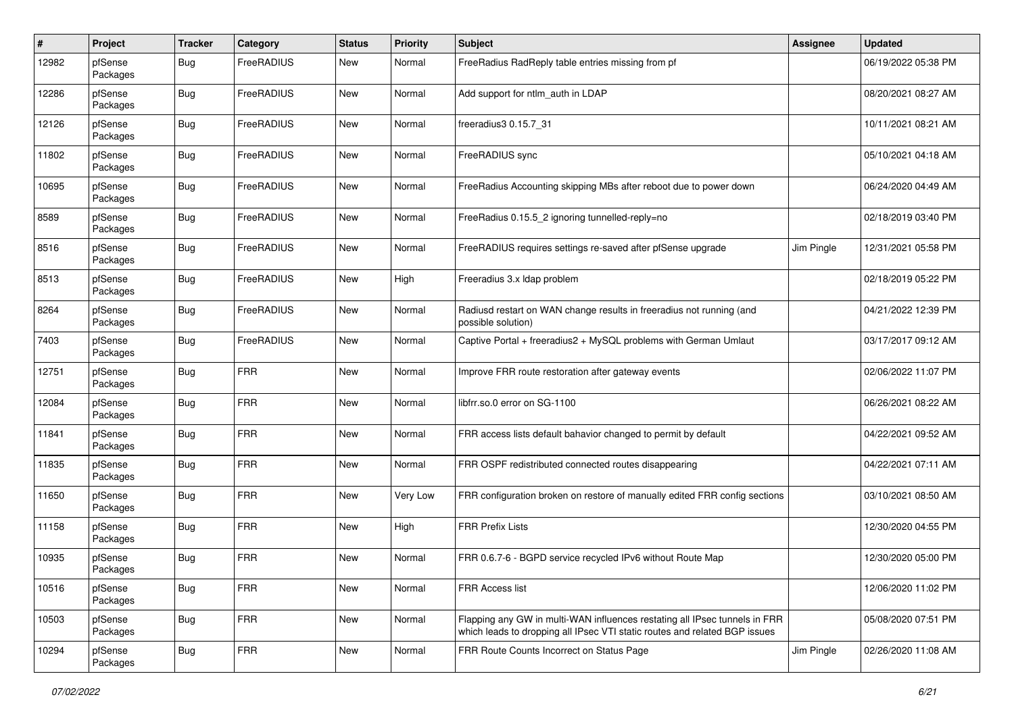| #     | Project             | <b>Tracker</b> | Category   | <b>Status</b> | <b>Priority</b> | Subject                                                                                                                                                  | <b>Assignee</b> | <b>Updated</b>      |
|-------|---------------------|----------------|------------|---------------|-----------------|----------------------------------------------------------------------------------------------------------------------------------------------------------|-----------------|---------------------|
| 12982 | pfSense<br>Packages | Bug            | FreeRADIUS | New           | Normal          | FreeRadius RadReply table entries missing from pf                                                                                                        |                 | 06/19/2022 05:38 PM |
| 12286 | pfSense<br>Packages | Bug            | FreeRADIUS | <b>New</b>    | Normal          | Add support for ntlm_auth in LDAP                                                                                                                        |                 | 08/20/2021 08:27 AM |
| 12126 | pfSense<br>Packages | <b>Bug</b>     | FreeRADIUS | New           | Normal          | freeradius3 0.15.7 31                                                                                                                                    |                 | 10/11/2021 08:21 AM |
| 11802 | pfSense<br>Packages | <b>Bug</b>     | FreeRADIUS | <b>New</b>    | Normal          | FreeRADIUS sync                                                                                                                                          |                 | 05/10/2021 04:18 AM |
| 10695 | pfSense<br>Packages | Bug            | FreeRADIUS | <b>New</b>    | Normal          | FreeRadius Accounting skipping MBs after reboot due to power down                                                                                        |                 | 06/24/2020 04:49 AM |
| 8589  | pfSense<br>Packages | Bug            | FreeRADIUS | New           | Normal          | FreeRadius 0.15.5_2 ignoring tunnelled-reply=no                                                                                                          |                 | 02/18/2019 03:40 PM |
| 8516  | pfSense<br>Packages | <b>Bug</b>     | FreeRADIUS | New           | Normal          | FreeRADIUS requires settings re-saved after pfSense upgrade                                                                                              | Jim Pingle      | 12/31/2021 05:58 PM |
| 8513  | pfSense<br>Packages | Bug            | FreeRADIUS | New           | High            | Freeradius 3.x Idap problem                                                                                                                              |                 | 02/18/2019 05:22 PM |
| 8264  | pfSense<br>Packages | Bug            | FreeRADIUS | <b>New</b>    | Normal          | Radiusd restart on WAN change results in freeradius not running (and<br>possible solution)                                                               |                 | 04/21/2022 12:39 PM |
| 7403  | pfSense<br>Packages | Bug            | FreeRADIUS | New           | Normal          | Captive Portal + freeradius2 + MySQL problems with German Umlaut                                                                                         |                 | 03/17/2017 09:12 AM |
| 12751 | pfSense<br>Packages | Bug            | <b>FRR</b> | <b>New</b>    | Normal          | Improve FRR route restoration after gateway events                                                                                                       |                 | 02/06/2022 11:07 PM |
| 12084 | pfSense<br>Packages | Bug            | <b>FRR</b> | <b>New</b>    | Normal          | libfrr.so.0 error on SG-1100                                                                                                                             |                 | 06/26/2021 08:22 AM |
| 11841 | pfSense<br>Packages | Bug            | <b>FRR</b> | <b>New</b>    | Normal          | FRR access lists default bahavior changed to permit by default                                                                                           |                 | 04/22/2021 09:52 AM |
| 11835 | pfSense<br>Packages | Bug            | <b>FRR</b> | <b>New</b>    | Normal          | FRR OSPF redistributed connected routes disappearing                                                                                                     |                 | 04/22/2021 07:11 AM |
| 11650 | pfSense<br>Packages | Bug            | <b>FRR</b> | New           | <b>Very Low</b> | FRR configuration broken on restore of manually edited FRR config sections                                                                               |                 | 03/10/2021 08:50 AM |
| 11158 | pfSense<br>Packages | Bug            | <b>FRR</b> | New           | High            | <b>FRR Prefix Lists</b>                                                                                                                                  |                 | 12/30/2020 04:55 PM |
| 10935 | pfSense<br>Packages | Bug            | <b>FRR</b> | <b>New</b>    | Normal          | FRR 0.6.7-6 - BGPD service recycled IPv6 without Route Map                                                                                               |                 | 12/30/2020 05:00 PM |
| 10516 | pfSense<br>Packages | <b>Bug</b>     | <b>FRR</b> | New           | Normal          | FRR Access list                                                                                                                                          |                 | 12/06/2020 11:02 PM |
| 10503 | pfSense<br>Packages | <b>Bug</b>     | <b>FRR</b> | New           | Normal          | Flapping any GW in multi-WAN influences restating all IPsec tunnels in FRR<br>which leads to dropping all IPsec VTI static routes and related BGP issues |                 | 05/08/2020 07:51 PM |
| 10294 | pfSense<br>Packages | <b>Bug</b>     | <b>FRR</b> | New           | Normal          | FRR Route Counts Incorrect on Status Page                                                                                                                | Jim Pingle      | 02/26/2020 11:08 AM |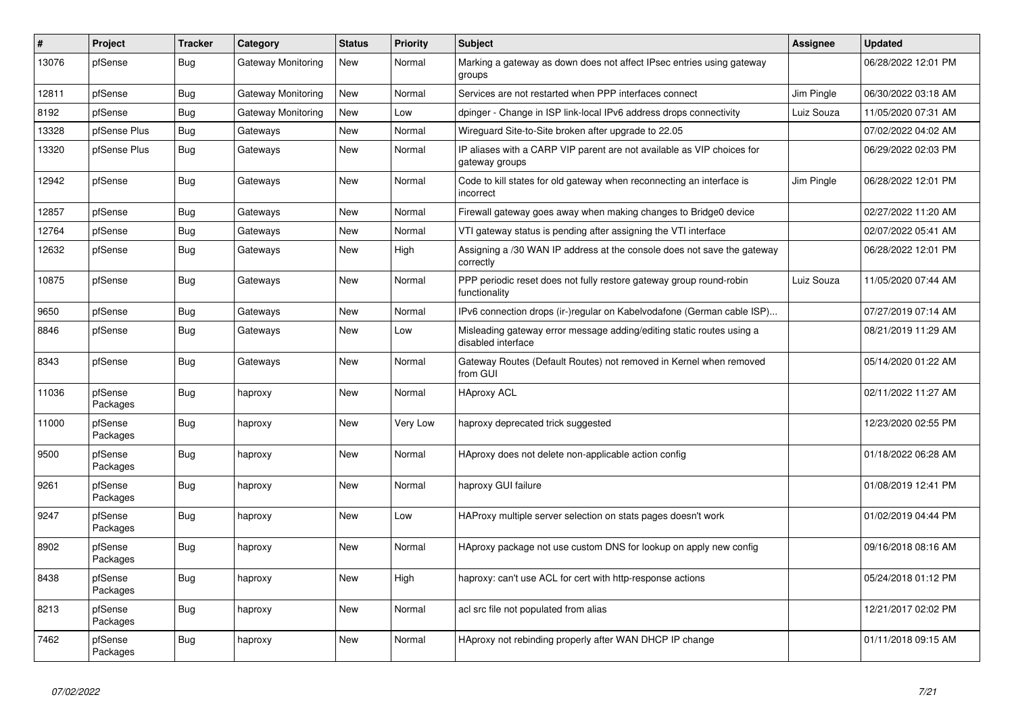| #     | Project             | <b>Tracker</b> | Category           | <b>Status</b> | Priority | <b>Subject</b>                                                                              | Assignee   | <b>Updated</b>      |
|-------|---------------------|----------------|--------------------|---------------|----------|---------------------------------------------------------------------------------------------|------------|---------------------|
| 13076 | pfSense             | Bug            | Gateway Monitoring | New           | Normal   | Marking a gateway as down does not affect IPsec entries using gateway<br>groups             |            | 06/28/2022 12:01 PM |
| 12811 | pfSense             | Bug            | Gateway Monitoring | New           | Normal   | Services are not restarted when PPP interfaces connect                                      | Jim Pingle | 06/30/2022 03:18 AM |
| 8192  | pfSense             | Bug            | Gateway Monitoring | <b>New</b>    | Low      | dpinger - Change in ISP link-local IPv6 address drops connectivity                          | Luiz Souza | 11/05/2020 07:31 AM |
| 13328 | pfSense Plus        | Bug            | Gateways           | <b>New</b>    | Normal   | Wireguard Site-to-Site broken after upgrade to 22.05                                        |            | 07/02/2022 04:02 AM |
| 13320 | pfSense Plus        | Bug            | Gateways           | New           | Normal   | IP aliases with a CARP VIP parent are not available as VIP choices for<br>gateway groups    |            | 06/29/2022 02:03 PM |
| 12942 | pfSense             | Bug            | Gateways           | New           | Normal   | Code to kill states for old gateway when reconnecting an interface is<br>incorrect          | Jim Pingle | 06/28/2022 12:01 PM |
| 12857 | pfSense             | Bug            | Gateways           | <b>New</b>    | Normal   | Firewall gateway goes away when making changes to Bridge0 device                            |            | 02/27/2022 11:20 AM |
| 12764 | pfSense             | <b>Bug</b>     | Gateways           | New           | Normal   | VTI gateway status is pending after assigning the VTI interface                             |            | 02/07/2022 05:41 AM |
| 12632 | pfSense             | <b>Bug</b>     | Gateways           | <b>New</b>    | High     | Assigning a /30 WAN IP address at the console does not save the gateway<br>correctly        |            | 06/28/2022 12:01 PM |
| 10875 | pfSense             | Bug            | Gateways           | <b>New</b>    | Normal   | PPP periodic reset does not fully restore gateway group round-robin<br>functionality        | Luiz Souza | 11/05/2020 07:44 AM |
| 9650  | pfSense             | Bug            | Gateways           | New           | Normal   | IPv6 connection drops (ir-)regular on Kabelvodafone (German cable ISP)                      |            | 07/27/2019 07:14 AM |
| 8846  | pfSense             | Bug            | Gateways           | New           | Low      | Misleading gateway error message adding/editing static routes using a<br>disabled interface |            | 08/21/2019 11:29 AM |
| 8343  | pfSense             | Bug            | Gateways           | <b>New</b>    | Normal   | Gateway Routes (Default Routes) not removed in Kernel when removed<br>from GUI              |            | 05/14/2020 01:22 AM |
| 11036 | pfSense<br>Packages | <b>Bug</b>     | haproxy            | <b>New</b>    | Normal   | <b>HAproxy ACL</b>                                                                          |            | 02/11/2022 11:27 AM |
| 11000 | pfSense<br>Packages | <b>Bug</b>     | haproxy            | New           | Very Low | haproxy deprecated trick suggested                                                          |            | 12/23/2020 02:55 PM |
| 9500  | pfSense<br>Packages | Bug            | haproxy            | New           | Normal   | HAproxy does not delete non-applicable action config                                        |            | 01/18/2022 06:28 AM |
| 9261  | pfSense<br>Packages | Bug            | haproxy            | New           | Normal   | haproxy GUI failure                                                                         |            | 01/08/2019 12:41 PM |
| 9247  | pfSense<br>Packages | Bug            | haproxy            | New           | Low      | HAProxy multiple server selection on stats pages doesn't work                               |            | 01/02/2019 04:44 PM |
| 8902  | pfSense<br>Packages | Bug            | haproxy            | <b>New</b>    | Normal   | HAproxy package not use custom DNS for lookup on apply new config                           |            | 09/16/2018 08:16 AM |
| 8438  | pfSense<br>Packages | Bug            | haproxy            | <b>New</b>    | High     | haproxy: can't use ACL for cert with http-response actions                                  |            | 05/24/2018 01:12 PM |
| 8213  | pfSense<br>Packages | Bug            | haproxy            | New           | Normal   | acl src file not populated from alias                                                       |            | 12/21/2017 02:02 PM |
| 7462  | pfSense<br>Packages | Bug            | haproxy            | <b>New</b>    | Normal   | HAproxy not rebinding properly after WAN DHCP IP change                                     |            | 01/11/2018 09:15 AM |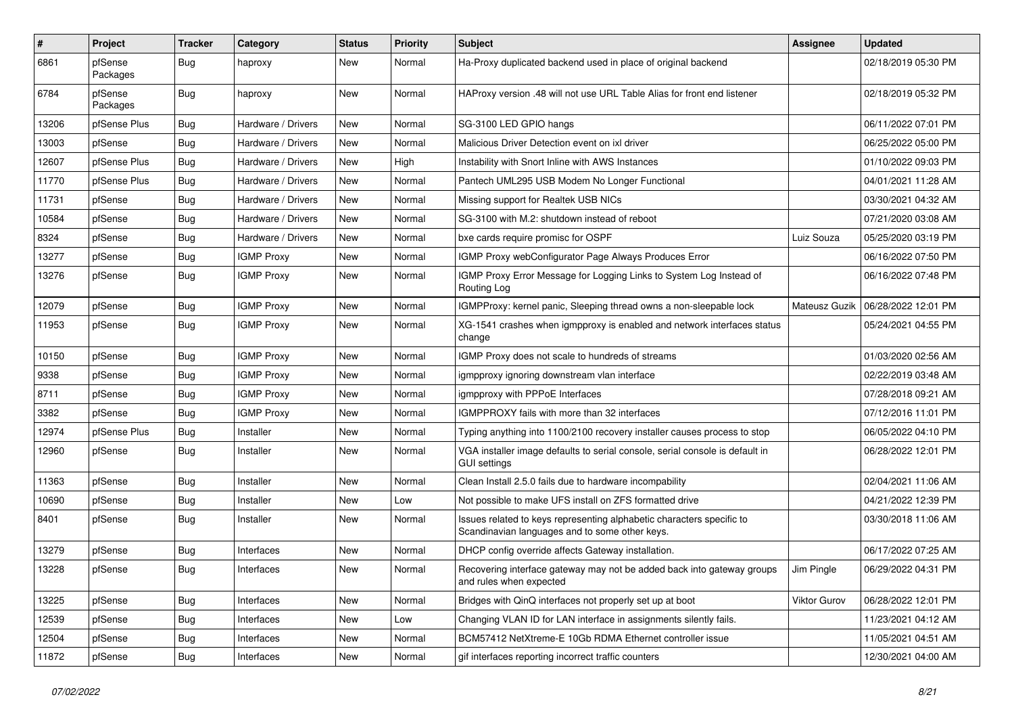| #     | Project             | <b>Tracker</b> | Category           | <b>Status</b> | <b>Priority</b> | Subject                                                                                                                 | <b>Assignee</b> | <b>Updated</b>      |
|-------|---------------------|----------------|--------------------|---------------|-----------------|-------------------------------------------------------------------------------------------------------------------------|-----------------|---------------------|
| 6861  | pfSense<br>Packages | Bug            | haproxy            | New           | Normal          | Ha-Proxy duplicated backend used in place of original backend                                                           |                 | 02/18/2019 05:30 PM |
| 6784  | pfSense<br>Packages | Bug            | haproxy            | New           | Normal          | HAProxy version .48 will not use URL Table Alias for front end listener                                                 |                 | 02/18/2019 05:32 PM |
| 13206 | pfSense Plus        | Bug            | Hardware / Drivers | <b>New</b>    | Normal          | SG-3100 LED GPIO hangs                                                                                                  |                 | 06/11/2022 07:01 PM |
| 13003 | pfSense             | Bug            | Hardware / Drivers | New           | Normal          | Malicious Driver Detection event on ixl driver                                                                          |                 | 06/25/2022 05:00 PM |
| 12607 | pfSense Plus        | Bug            | Hardware / Drivers | <b>New</b>    | High            | Instability with Snort Inline with AWS Instances                                                                        |                 | 01/10/2022 09:03 PM |
| 11770 | pfSense Plus        | <b>Bug</b>     | Hardware / Drivers | New           | Normal          | Pantech UML295 USB Modem No Longer Functional                                                                           |                 | 04/01/2021 11:28 AM |
| 11731 | pfSense             | Bug            | Hardware / Drivers | New           | Normal          | Missing support for Realtek USB NICs                                                                                    |                 | 03/30/2021 04:32 AM |
| 10584 | pfSense             | <b>Bug</b>     | Hardware / Drivers | <b>New</b>    | Normal          | SG-3100 with M.2: shutdown instead of reboot                                                                            |                 | 07/21/2020 03:08 AM |
| 8324  | pfSense             | Bug            | Hardware / Drivers | New           | Normal          | bxe cards require promisc for OSPF                                                                                      | Luiz Souza      | 05/25/2020 03:19 PM |
| 13277 | pfSense             | Bug            | <b>IGMP Proxy</b>  | New           | Normal          | IGMP Proxy webConfigurator Page Always Produces Error                                                                   |                 | 06/16/2022 07:50 PM |
| 13276 | pfSense             | <b>Bug</b>     | <b>IGMP Proxy</b>  | New           | Normal          | IGMP Proxy Error Message for Logging Links to System Log Instead of<br>Routing Log                                      |                 | 06/16/2022 07:48 PM |
| 12079 | pfSense             | Bug            | <b>IGMP Proxy</b>  | <b>New</b>    | Normal          | IGMPProxy: kernel panic, Sleeping thread owns a non-sleepable lock                                                      | Mateusz Guzik   | 06/28/2022 12:01 PM |
| 11953 | pfSense             | Bug            | <b>IGMP Proxy</b>  | New           | Normal          | XG-1541 crashes when igmpproxy is enabled and network interfaces status<br>change                                       |                 | 05/24/2021 04:55 PM |
| 10150 | pfSense             | <b>Bug</b>     | <b>IGMP Proxy</b>  | <b>New</b>    | Normal          | IGMP Proxy does not scale to hundreds of streams                                                                        |                 | 01/03/2020 02:56 AM |
| 9338  | pfSense             | Bug            | <b>IGMP Proxy</b>  | New           | Normal          | igmpproxy ignoring downstream vlan interface                                                                            |                 | 02/22/2019 03:48 AM |
| 8711  | pfSense             | Bug            | <b>IGMP Proxy</b>  | New           | Normal          | igmpproxy with PPPoE Interfaces                                                                                         |                 | 07/28/2018 09:21 AM |
| 3382  | pfSense             | Bug            | <b>IGMP Proxy</b>  | New           | Normal          | IGMPPROXY fails with more than 32 interfaces                                                                            |                 | 07/12/2016 11:01 PM |
| 12974 | pfSense Plus        | Bug            | Installer          | New           | Normal          | Typing anything into 1100/2100 recovery installer causes process to stop                                                |                 | 06/05/2022 04:10 PM |
| 12960 | pfSense             | <b>Bug</b>     | Installer          | New           | Normal          | VGA installer image defaults to serial console, serial console is default in<br><b>GUI settings</b>                     |                 | 06/28/2022 12:01 PM |
| 11363 | pfSense             | <b>Bug</b>     | Installer          | New           | Normal          | Clean Install 2.5.0 fails due to hardware incompability                                                                 |                 | 02/04/2021 11:06 AM |
| 10690 | pfSense             | Bug            | Installer          | <b>New</b>    | Low             | Not possible to make UFS install on ZFS formatted drive                                                                 |                 | 04/21/2022 12:39 PM |
| 8401  | pfSense             | Bug            | Installer          | New           | Normal          | Issues related to keys representing alphabetic characters specific to<br>Scandinavian languages and to some other keys. |                 | 03/30/2018 11:06 AM |
| 13279 | pfSense             | Bug            | Interfaces         | New           | Normal          | DHCP config override affects Gateway installation.                                                                      |                 | 06/17/2022 07:25 AM |
| 13228 | pfSense             | Bug            | Interfaces         | New           | Normal          | Recovering interface gateway may not be added back into gateway groups<br>and rules when expected                       | Jim Pinale      | 06/29/2022 04:31 PM |
| 13225 | pfSense             | Bug            | Interfaces         | New           | Normal          | Bridges with QinQ interfaces not properly set up at boot                                                                | Viktor Gurov    | 06/28/2022 12:01 PM |
| 12539 | pfSense             | Bug            | Interfaces         | New           | Low             | Changing VLAN ID for LAN interface in assignments silently fails.                                                       |                 | 11/23/2021 04:12 AM |
| 12504 | pfSense             | Bug            | Interfaces         | New           | Normal          | BCM57412 NetXtreme-E 10Gb RDMA Ethernet controller issue                                                                |                 | 11/05/2021 04:51 AM |
| 11872 | pfSense             | <b>Bug</b>     | Interfaces         | New           | Normal          | gif interfaces reporting incorrect traffic counters                                                                     |                 | 12/30/2021 04:00 AM |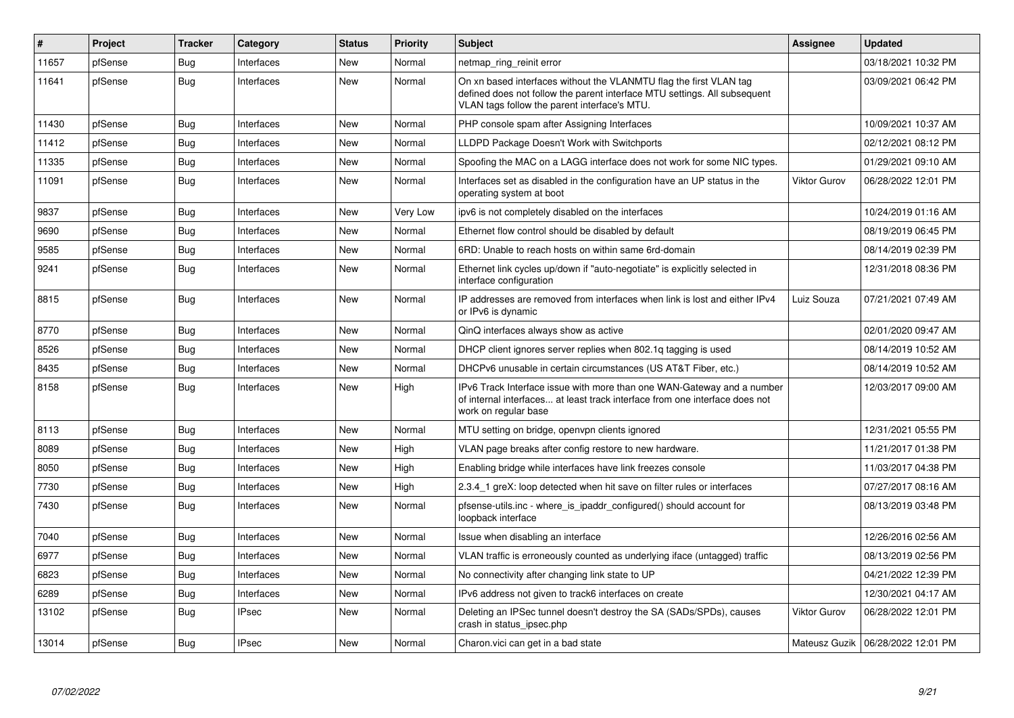| $\vert$ # | Project | <b>Tracker</b> | Category     | <b>Status</b> | <b>Priority</b> | <b>Subject</b>                                                                                                                                                                                  | Assignee            | <b>Updated</b>                      |
|-----------|---------|----------------|--------------|---------------|-----------------|-------------------------------------------------------------------------------------------------------------------------------------------------------------------------------------------------|---------------------|-------------------------------------|
| 11657     | pfSense | Bug            | Interfaces   | <b>New</b>    | Normal          | netmap_ring_reinit error                                                                                                                                                                        |                     | 03/18/2021 10:32 PM                 |
| 11641     | pfSense | <b>Bug</b>     | Interfaces   | <b>New</b>    | Normal          | On xn based interfaces without the VLANMTU flag the first VLAN tag<br>defined does not follow the parent interface MTU settings. All subsequent<br>VLAN tags follow the parent interface's MTU. |                     | 03/09/2021 06:42 PM                 |
| 11430     | pfSense | Bug            | Interfaces   | New           | Normal          | PHP console spam after Assigning Interfaces                                                                                                                                                     |                     | 10/09/2021 10:37 AM                 |
| 11412     | pfSense | Bug            | Interfaces   | <b>New</b>    | Normal          | LLDPD Package Doesn't Work with Switchports                                                                                                                                                     |                     | 02/12/2021 08:12 PM                 |
| 11335     | pfSense | <b>Bug</b>     | Interfaces   | New           | Normal          | Spoofing the MAC on a LAGG interface does not work for some NIC types.                                                                                                                          |                     | 01/29/2021 09:10 AM                 |
| 11091     | pfSense | Bug            | Interfaces   | New           | Normal          | Interfaces set as disabled in the configuration have an UP status in the<br>operating system at boot                                                                                            | <b>Viktor Gurov</b> | 06/28/2022 12:01 PM                 |
| 9837      | pfSense | <b>Bug</b>     | Interfaces   | New           | Very Low        | ipv6 is not completely disabled on the interfaces                                                                                                                                               |                     | 10/24/2019 01:16 AM                 |
| 9690      | pfSense | Bug            | Interfaces   | <b>New</b>    | Normal          | Ethernet flow control should be disabled by default                                                                                                                                             |                     | 08/19/2019 06:45 PM                 |
| 9585      | pfSense | Bug            | Interfaces   | <b>New</b>    | Normal          | 6RD: Unable to reach hosts on within same 6rd-domain                                                                                                                                            |                     | 08/14/2019 02:39 PM                 |
| 9241      | pfSense | <b>Bug</b>     | Interfaces   | New           | Normal          | Ethernet link cycles up/down if "auto-negotiate" is explicitly selected in<br>interface configuration                                                                                           |                     | 12/31/2018 08:36 PM                 |
| 8815      | pfSense | Bug            | Interfaces   | New           | Normal          | IP addresses are removed from interfaces when link is lost and either IPv4<br>or IPv6 is dynamic                                                                                                | Luiz Souza          | 07/21/2021 07:49 AM                 |
| 8770      | pfSense | Bug            | Interfaces   | <b>New</b>    | Normal          | QinQ interfaces always show as active                                                                                                                                                           |                     | 02/01/2020 09:47 AM                 |
| 8526      | pfSense | <b>Bug</b>     | Interfaces   | New           | Normal          | DHCP client ignores server replies when 802.1g tagging is used                                                                                                                                  |                     | 08/14/2019 10:52 AM                 |
| 8435      | pfSense | <b>Bug</b>     | Interfaces   | New           | Normal          | DHCPv6 unusable in certain circumstances (US AT&T Fiber, etc.)                                                                                                                                  |                     | 08/14/2019 10:52 AM                 |
| 8158      | pfSense | Bug            | Interfaces   | <b>New</b>    | High            | IPv6 Track Interface issue with more than one WAN-Gateway and a number<br>of internal interfaces at least track interface from one interface does not<br>work on regular base                   |                     | 12/03/2017 09:00 AM                 |
| 8113      | pfSense | Bug            | Interfaces   | <b>New</b>    | Normal          | MTU setting on bridge, openypn clients ignored                                                                                                                                                  |                     | 12/31/2021 05:55 PM                 |
| 8089      | pfSense | Bug            | Interfaces   | <b>New</b>    | High            | VLAN page breaks after config restore to new hardware.                                                                                                                                          |                     | 11/21/2017 01:38 PM                 |
| 8050      | pfSense | <b>Bug</b>     | Interfaces   | New           | High            | Enabling bridge while interfaces have link freezes console                                                                                                                                      |                     | 11/03/2017 04:38 PM                 |
| 7730      | pfSense | Bug            | Interfaces   | New           | High            | 2.3.4 1 greX: loop detected when hit save on filter rules or interfaces                                                                                                                         |                     | 07/27/2017 08:16 AM                 |
| 7430      | pfSense | <b>Bug</b>     | Interfaces   | New           | Normal          | pfsense-utils.inc - where is ipaddr configured() should account for<br>loopback interface                                                                                                       |                     | 08/13/2019 03:48 PM                 |
| 7040      | pfSense | Bug            | Interfaces   | <b>New</b>    | Normal          | Issue when disabling an interface                                                                                                                                                               |                     | 12/26/2016 02:56 AM                 |
| 6977      | pfSense | Bug            | Interfaces   | New           | Normal          | VLAN traffic is erroneously counted as underlying iface (untagged) traffic                                                                                                                      |                     | 08/13/2019 02:56 PM                 |
| 6823      | pfSense | Bug            | Interfaces   | New           | Normal          | No connectivity after changing link state to UP                                                                                                                                                 |                     | 04/21/2022 12:39 PM                 |
| 6289      | pfSense | Bug            | Interfaces   | <b>New</b>    | Normal          | IPv6 address not given to track6 interfaces on create                                                                                                                                           |                     | 12/30/2021 04:17 AM                 |
| 13102     | pfSense | <b>Bug</b>     | <b>IPsec</b> | New           | Normal          | Deleting an IPSec tunnel doesn't destroy the SA (SADs/SPDs), causes<br>crash in status ipsec.php                                                                                                | <b>Viktor Gurov</b> | 06/28/2022 12:01 PM                 |
| 13014     | pfSense | Bug            | <b>IPsec</b> | <b>New</b>    | Normal          | Charon.vici can get in a bad state                                                                                                                                                              |                     | Mateusz Guzik   06/28/2022 12:01 PM |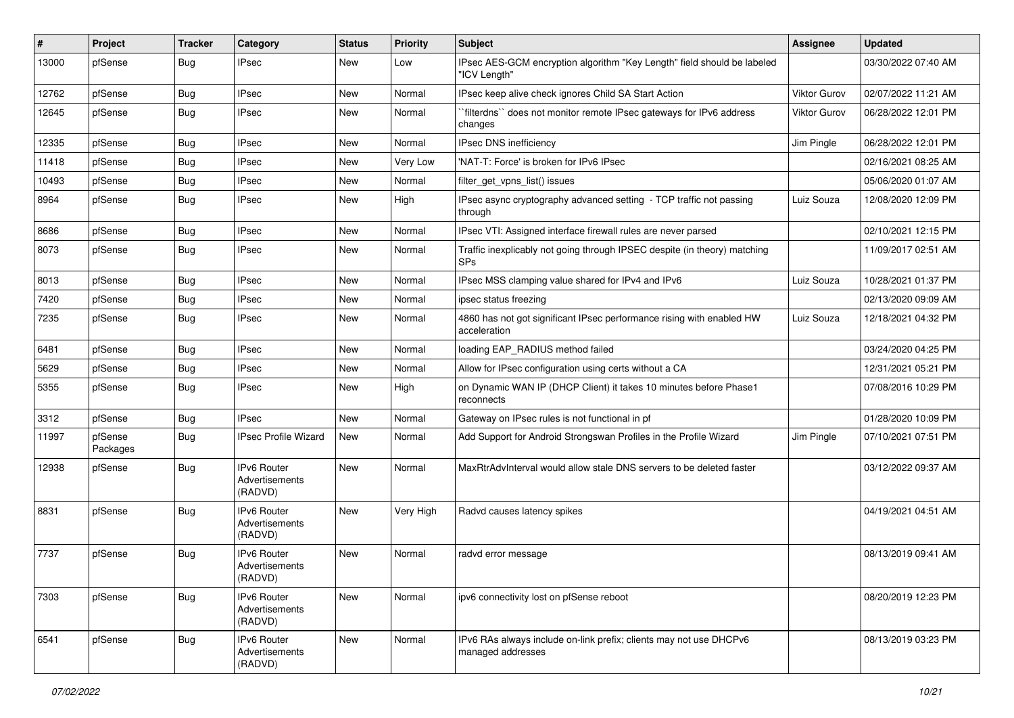| #     | Project             | <b>Tracker</b> | Category                                        | <b>Status</b> | <b>Priority</b> | <b>Subject</b>                                                                          | <b>Assignee</b>     | <b>Updated</b>      |
|-------|---------------------|----------------|-------------------------------------------------|---------------|-----------------|-----------------------------------------------------------------------------------------|---------------------|---------------------|
| 13000 | pfSense             | Bug            | <b>IPsec</b>                                    | New           | Low             | IPsec AES-GCM encryption algorithm "Key Length" field should be labeled<br>'ICV Length" |                     | 03/30/2022 07:40 AM |
| 12762 | pfSense             | Bug            | <b>IPsec</b>                                    | <b>New</b>    | Normal          | IPsec keep alive check ignores Child SA Start Action                                    | Viktor Gurov        | 02/07/2022 11:21 AM |
| 12645 | pfSense             | Bug            | <b>IPsec</b>                                    | New           | Normal          | filterdns" does not monitor remote IPsec gateways for IPv6 address<br>changes           | <b>Viktor Gurov</b> | 06/28/2022 12:01 PM |
| 12335 | pfSense             | Bug            | <b>IPsec</b>                                    | <b>New</b>    | Normal          | IPsec DNS inefficiency                                                                  | Jim Pingle          | 06/28/2022 12:01 PM |
| 11418 | pfSense             | Bug            | <b>IPsec</b>                                    | <b>New</b>    | <b>Very Low</b> | 'NAT-T: Force' is broken for IPv6 IPsec                                                 |                     | 02/16/2021 08:25 AM |
| 10493 | pfSense             | Bug            | <b>IPsec</b>                                    | New           | Normal          | filter get vpns list() issues                                                           |                     | 05/06/2020 01:07 AM |
| 8964  | pfSense             | Bug            | <b>IPsec</b>                                    | New           | High            | IPsec async cryptography advanced setting - TCP traffic not passing<br>through          | Luiz Souza          | 12/08/2020 12:09 PM |
| 8686  | pfSense             | Bug            | <b>IPsec</b>                                    | New           | Normal          | IPsec VTI: Assigned interface firewall rules are never parsed                           |                     | 02/10/2021 12:15 PM |
| 8073  | pfSense             | Bug            | <b>IPsec</b>                                    | New           | Normal          | Traffic inexplicably not going through IPSEC despite (in theory) matching<br><b>SPs</b> |                     | 11/09/2017 02:51 AM |
| 8013  | pfSense             | Bug            | <b>IPsec</b>                                    | <b>New</b>    | Normal          | IPsec MSS clamping value shared for IPv4 and IPv6                                       | Luiz Souza          | 10/28/2021 01:37 PM |
| 7420  | pfSense             | Bug            | <b>IPsec</b>                                    | New           | Normal          | ipsec status freezing                                                                   |                     | 02/13/2020 09:09 AM |
| 7235  | pfSense             | Bug            | <b>IPsec</b>                                    | New           | Normal          | 4860 has not got significant IPsec performance rising with enabled HW<br>acceleration   | Luiz Souza          | 12/18/2021 04:32 PM |
| 6481  | pfSense             | Bug            | <b>IPsec</b>                                    | <b>New</b>    | Normal          | loading EAP_RADIUS method failed                                                        |                     | 03/24/2020 04:25 PM |
| 5629  | pfSense             | Bug            | <b>IPsec</b>                                    | New           | Normal          | Allow for IPsec configuration using certs without a CA                                  |                     | 12/31/2021 05:21 PM |
| 5355  | pfSense             | Bug            | <b>IPsec</b>                                    | New           | High            | on Dynamic WAN IP (DHCP Client) it takes 10 minutes before Phase1<br>reconnects         |                     | 07/08/2016 10:29 PM |
| 3312  | pfSense             | Bug            | <b>IPsec</b>                                    | <b>New</b>    | Normal          | Gateway on IPsec rules is not functional in pf                                          |                     | 01/28/2020 10:09 PM |
| 11997 | pfSense<br>Packages | Bug            | <b>IPsec Profile Wizard</b>                     | New           | Normal          | Add Support for Android Strongswan Profiles in the Profile Wizard                       | Jim Pingle          | 07/10/2021 07:51 PM |
| 12938 | pfSense             | <b>Bug</b>     | IPv6 Router<br>Advertisements<br>(RADVD)        | New           | Normal          | MaxRtrAdvInterval would allow stale DNS servers to be deleted faster                    |                     | 03/12/2022 09:37 AM |
| 8831  | pfSense             | Bug            | <b>IPv6 Router</b><br>Advertisements<br>(RADVD) | <b>New</b>    | Very High       | Radvd causes latency spikes                                                             |                     | 04/19/2021 04:51 AM |
| 7737  | pfSense             | Bug            | IPv6 Router<br>Advertisements<br>(RADVD)        | <b>New</b>    | Normal          | radvd error message                                                                     |                     | 08/13/2019 09:41 AM |
| 7303  | pfSense             | Bug            | IPv6 Router<br>Advertisements<br>(RADVD)        | New           | Normal          | ipv6 connectivity lost on pfSense reboot                                                |                     | 08/20/2019 12:23 PM |
| 6541  | pfSense             | <b>Bug</b>     | IPv6 Router<br>Advertisements<br>(RADVD)        | New           | Normal          | IPv6 RAs always include on-link prefix; clients may not use DHCPv6<br>managed addresses |                     | 08/13/2019 03:23 PM |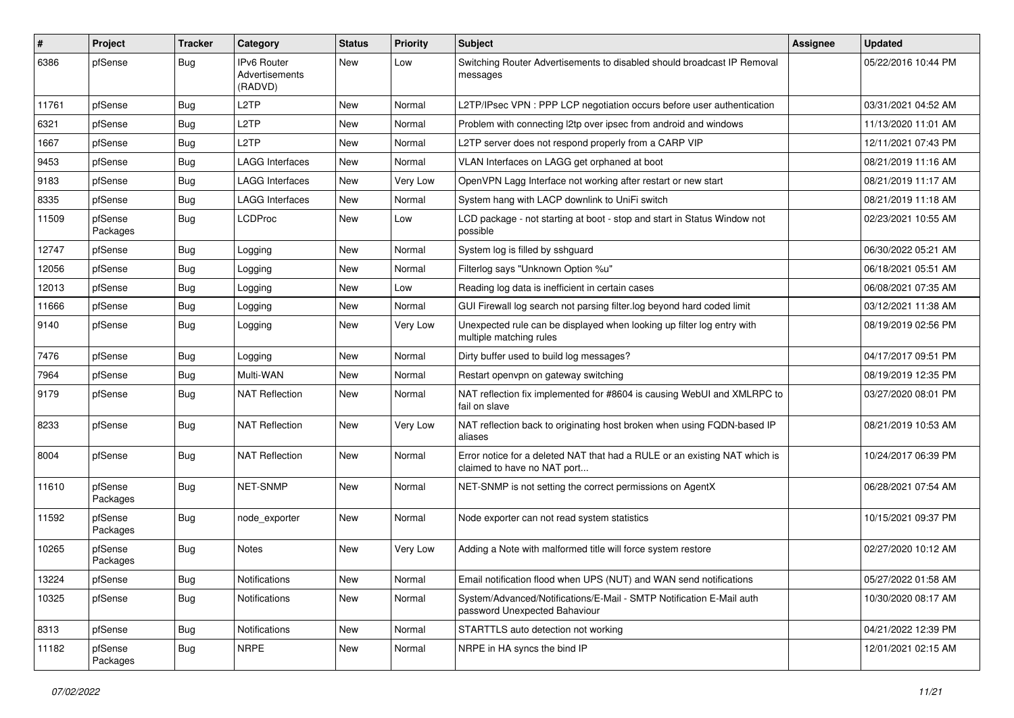| $\vert$ # | Project             | <b>Tracker</b> | Category                                 | <b>Status</b> | <b>Priority</b> | <b>Subject</b>                                                                                            | Assignee | <b>Updated</b>      |
|-----------|---------------------|----------------|------------------------------------------|---------------|-----------------|-----------------------------------------------------------------------------------------------------------|----------|---------------------|
| 6386      | pfSense             | <b>Bug</b>     | IPv6 Router<br>Advertisements<br>(RADVD) | New           | Low             | Switching Router Advertisements to disabled should broadcast IP Removal<br>messages                       |          | 05/22/2016 10:44 PM |
| 11761     | pfSense             | Bug            | L <sub>2</sub> TP                        | <b>New</b>    | Normal          | L2TP/IPsec VPN : PPP LCP negotiation occurs before user authentication                                    |          | 03/31/2021 04:52 AM |
| 6321      | pfSense             | Bug            | L <sub>2</sub> TP                        | <b>New</b>    | Normal          | Problem with connecting I2tp over ipsec from android and windows                                          |          | 11/13/2020 11:01 AM |
| 1667      | pfSense             | Bug            | L <sub>2</sub> TP                        | New           | Normal          | L2TP server does not respond properly from a CARP VIP                                                     |          | 12/11/2021 07:43 PM |
| 9453      | pfSense             | Bug            | <b>LAGG Interfaces</b>                   | New           | Normal          | VLAN Interfaces on LAGG get orphaned at boot                                                              |          | 08/21/2019 11:16 AM |
| 9183      | pfSense             | Bug            | <b>LAGG Interfaces</b>                   | New           | Very Low        | OpenVPN Lagg Interface not working after restart or new start                                             |          | 08/21/2019 11:17 AM |
| 8335      | pfSense             | Bug            | <b>LAGG Interfaces</b>                   | New           | Normal          | System hang with LACP downlink to UniFi switch                                                            |          | 08/21/2019 11:18 AM |
| 11509     | pfSense<br>Packages | Bug            | <b>LCDProc</b>                           | New           | Low             | LCD package - not starting at boot - stop and start in Status Window not<br>possible                      |          | 02/23/2021 10:55 AM |
| 12747     | pfSense             | Bug            | Logging                                  | New           | Normal          | System log is filled by sshguard                                                                          |          | 06/30/2022 05:21 AM |
| 12056     | pfSense             | Bug            | Logging                                  | New           | Normal          | Filterlog says "Unknown Option %u"                                                                        |          | 06/18/2021 05:51 AM |
| 12013     | pfSense             | Bug            | Logging                                  | New           | Low             | Reading log data is inefficient in certain cases                                                          |          | 06/08/2021 07:35 AM |
| 11666     | pfSense             | <b>Bug</b>     | Logging                                  | New           | Normal          | GUI Firewall log search not parsing filter.log beyond hard coded limit                                    |          | 03/12/2021 11:38 AM |
| 9140      | pfSense             | Bug            | Logging                                  | New           | Very Low        | Unexpected rule can be displayed when looking up filter log entry with<br>multiple matching rules         |          | 08/19/2019 02:56 PM |
| 7476      | pfSense             | Bug            | Logging                                  | <b>New</b>    | Normal          | Dirty buffer used to build log messages?                                                                  |          | 04/17/2017 09:51 PM |
| 7964      | pfSense             | Bug            | Multi-WAN                                | New           | Normal          | Restart openvpn on gateway switching                                                                      |          | 08/19/2019 12:35 PM |
| 9179      | pfSense             | Bug            | <b>NAT Reflection</b>                    | New           | Normal          | NAT reflection fix implemented for #8604 is causing WebUI and XMLRPC to<br>fail on slave                  |          | 03/27/2020 08:01 PM |
| 8233      | pfSense             | <b>Bug</b>     | <b>NAT Reflection</b>                    | <b>New</b>    | Very Low        | NAT reflection back to originating host broken when using FQDN-based IP<br>aliases                        |          | 08/21/2019 10:53 AM |
| 8004      | pfSense             | <b>Bug</b>     | <b>NAT Reflection</b>                    | <b>New</b>    | Normal          | Error notice for a deleted NAT that had a RULE or an existing NAT which is<br>claimed to have no NAT port |          | 10/24/2017 06:39 PM |
| 11610     | pfSense<br>Packages | <b>Bug</b>     | NET-SNMP                                 | New           | Normal          | NET-SNMP is not setting the correct permissions on AgentX                                                 |          | 06/28/2021 07:54 AM |
| 11592     | pfSense<br>Packages | <b>Bug</b>     | node_exporter                            | <b>New</b>    | Normal          | Node exporter can not read system statistics                                                              |          | 10/15/2021 09:37 PM |
| 10265     | pfSense<br>Packages | <b>Bug</b>     | <b>Notes</b>                             | New           | Very Low        | Adding a Note with malformed title will force system restore                                              |          | 02/27/2020 10:12 AM |
| 13224     | pfSense             | <b>Bug</b>     | Notifications                            | New           | Normal          | Email notification flood when UPS (NUT) and WAN send notifications                                        |          | 05/27/2022 01:58 AM |
| 10325     | pfSense             | Bug            | Notifications                            | New           | Normal          | System/Advanced/Notifications/E-Mail - SMTP Notification E-Mail auth<br>password Unexpected Bahaviour     |          | 10/30/2020 08:17 AM |
| 8313      | pfSense             | <b>Bug</b>     | Notifications                            | New           | Normal          | STARTTLS auto detection not working                                                                       |          | 04/21/2022 12:39 PM |
| 11182     | pfSense<br>Packages | <b>Bug</b>     | <b>NRPE</b>                              | New           | Normal          | NRPE in HA syncs the bind IP                                                                              |          | 12/01/2021 02:15 AM |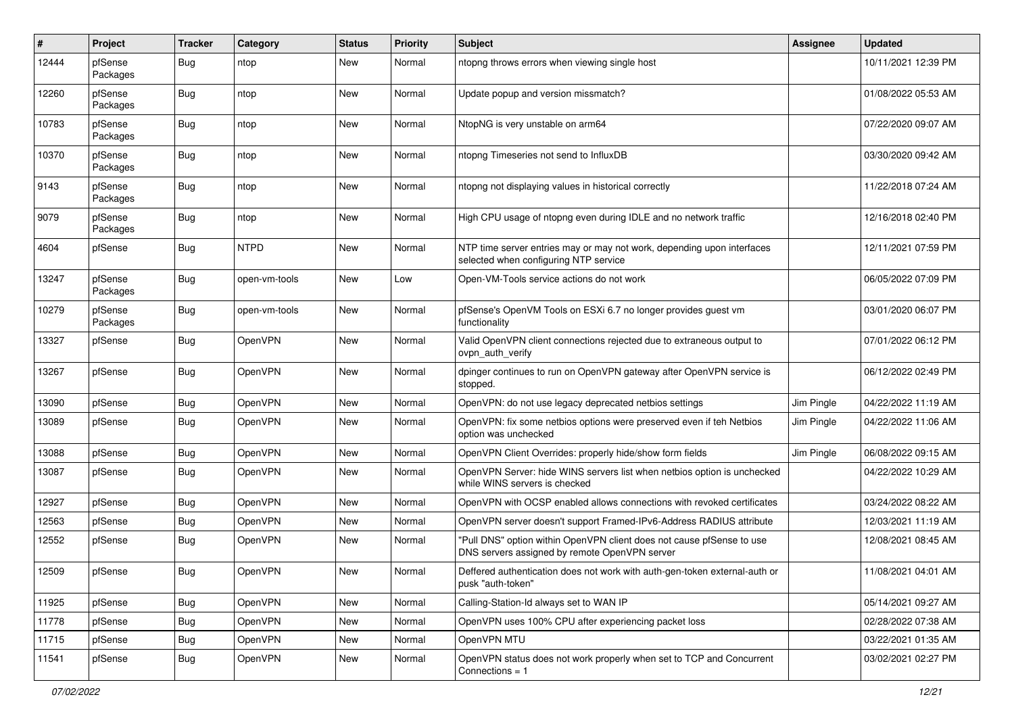| #     | Project             | <b>Tracker</b> | Category      | <b>Status</b> | <b>Priority</b> | <b>Subject</b>                                                                                                         | <b>Assignee</b> | <b>Updated</b>      |
|-------|---------------------|----------------|---------------|---------------|-----------------|------------------------------------------------------------------------------------------------------------------------|-----------------|---------------------|
| 12444 | pfSense<br>Packages | Bug            | ntop          | <b>New</b>    | Normal          | ntopng throws errors when viewing single host                                                                          |                 | 10/11/2021 12:39 PM |
| 12260 | pfSense<br>Packages | Bug            | ntop          | <b>New</b>    | Normal          | Update popup and version missmatch?                                                                                    |                 | 01/08/2022 05:53 AM |
| 10783 | pfSense<br>Packages | Bug            | ntop          | <b>New</b>    | Normal          | NtopNG is very unstable on arm64                                                                                       |                 | 07/22/2020 09:07 AM |
| 10370 | pfSense<br>Packages | <b>Bug</b>     | ntop          | <b>New</b>    | Normal          | ntopng Timeseries not send to InfluxDB                                                                                 |                 | 03/30/2020 09:42 AM |
| 9143  | pfSense<br>Packages | Bug            | ntop          | <b>New</b>    | Normal          | ntopng not displaying values in historical correctly                                                                   |                 | 11/22/2018 07:24 AM |
| 9079  | pfSense<br>Packages | <b>Bug</b>     | ntop          | <b>New</b>    | Normal          | High CPU usage of ntopng even during IDLE and no network traffic                                                       |                 | 12/16/2018 02:40 PM |
| 4604  | pfSense             | Bug            | <b>NTPD</b>   | <b>New</b>    | Normal          | NTP time server entries may or may not work, depending upon interfaces<br>selected when configuring NTP service        |                 | 12/11/2021 07:59 PM |
| 13247 | pfSense<br>Packages | Bug            | open-vm-tools | <b>New</b>    | Low             | Open-VM-Tools service actions do not work                                                                              |                 | 06/05/2022 07:09 PM |
| 10279 | pfSense<br>Packages | Bug            | open-vm-tools | <b>New</b>    | Normal          | pfSense's OpenVM Tools on ESXi 6.7 no longer provides guest vm<br>functionality                                        |                 | 03/01/2020 06:07 PM |
| 13327 | pfSense             | Bug            | OpenVPN       | <b>New</b>    | Normal          | Valid OpenVPN client connections rejected due to extraneous output to<br>ovpn auth verify                              |                 | 07/01/2022 06:12 PM |
| 13267 | pfSense             | Bug            | OpenVPN       | <b>New</b>    | Normal          | dpinger continues to run on OpenVPN gateway after OpenVPN service is<br>stopped.                                       |                 | 06/12/2022 02:49 PM |
| 13090 | pfSense             | Bug            | OpenVPN       | <b>New</b>    | Normal          | OpenVPN: do not use legacy deprecated netbios settings                                                                 | Jim Pingle      | 04/22/2022 11:19 AM |
| 13089 | pfSense             | Bug            | OpenVPN       | <b>New</b>    | Normal          | OpenVPN: fix some netbios options were preserved even if teh Netbios<br>option was unchecked                           | Jim Pingle      | 04/22/2022 11:06 AM |
| 13088 | pfSense             | <b>Bug</b>     | OpenVPN       | <b>New</b>    | Normal          | OpenVPN Client Overrides: properly hide/show form fields                                                               | Jim Pingle      | 06/08/2022 09:15 AM |
| 13087 | pfSense             | <b>Bug</b>     | OpenVPN       | <b>New</b>    | Normal          | OpenVPN Server: hide WINS servers list when netbios option is unchecked<br>while WINS servers is checked               |                 | 04/22/2022 10:29 AM |
| 12927 | pfSense             | Bug            | OpenVPN       | <b>New</b>    | Normal          | OpenVPN with OCSP enabled allows connections with revoked certificates                                                 |                 | 03/24/2022 08:22 AM |
| 12563 | pfSense             | Bug            | OpenVPN       | <b>New</b>    | Normal          | OpenVPN server doesn't support Framed-IPv6-Address RADIUS attribute                                                    |                 | 12/03/2021 11:19 AM |
| 12552 | pfSense             | Bug            | OpenVPN       | <b>New</b>    | Normal          | "Pull DNS" option within OpenVPN client does not cause pfSense to use<br>DNS servers assigned by remote OpenVPN server |                 | 12/08/2021 08:45 AM |
| 12509 | pfSense             | Bug            | OpenVPN       | New           | Normal          | Deffered authentication does not work with auth-gen-token external-auth or<br>pusk "auth-token"                        |                 | 11/08/2021 04:01 AM |
| 11925 | pfSense             | <b>Bug</b>     | OpenVPN       | New           | Normal          | Calling-Station-Id always set to WAN IP                                                                                |                 | 05/14/2021 09:27 AM |
| 11778 | pfSense             | <b>Bug</b>     | OpenVPN       | New           | Normal          | OpenVPN uses 100% CPU after experiencing packet loss                                                                   |                 | 02/28/2022 07:38 AM |
| 11715 | pfSense             | <b>Bug</b>     | OpenVPN       | New           | Normal          | OpenVPN MTU                                                                                                            |                 | 03/22/2021 01:35 AM |
| 11541 | pfSense             | <b>Bug</b>     | OpenVPN       | New           | Normal          | OpenVPN status does not work properly when set to TCP and Concurrent<br>Connections = 1                                |                 | 03/02/2021 02:27 PM |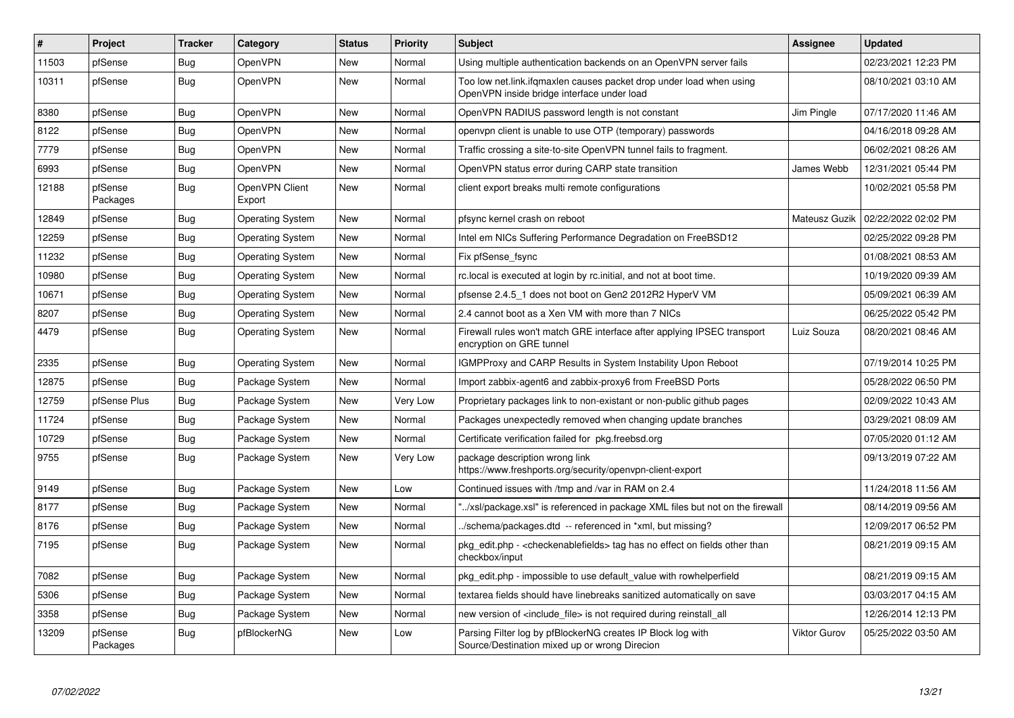| #     | <b>Project</b>      | <b>Tracker</b> | Category                 | <b>Status</b> | <b>Priority</b> | <b>Subject</b>                                                                                                    | Assignee      | <b>Updated</b>      |
|-------|---------------------|----------------|--------------------------|---------------|-----------------|-------------------------------------------------------------------------------------------------------------------|---------------|---------------------|
| 11503 | pfSense             | Bug            | OpenVPN                  | <b>New</b>    | Normal          | Using multiple authentication backends on an OpenVPN server fails                                                 |               | 02/23/2021 12:23 PM |
| 10311 | pfSense             | <b>Bug</b>     | OpenVPN                  | New           | Normal          | Too low net.link.ifgmaxlen causes packet drop under load when using<br>OpenVPN inside bridge interface under load |               | 08/10/2021 03:10 AM |
| 8380  | pfSense             | Bug            | OpenVPN                  | New           | Normal          | OpenVPN RADIUS password length is not constant                                                                    | Jim Pingle    | 07/17/2020 11:46 AM |
| 8122  | pfSense             | <b>Bug</b>     | OpenVPN                  | <b>New</b>    | Normal          | openypn client is unable to use OTP (temporary) passwords                                                         |               | 04/16/2018 09:28 AM |
| 7779  | pfSense             | Bug            | <b>OpenVPN</b>           | <b>New</b>    | Normal          | Traffic crossing a site-to-site OpenVPN tunnel fails to fragment.                                                 |               | 06/02/2021 08:26 AM |
| 6993  | pfSense             | <b>Bug</b>     | <b>OpenVPN</b>           | New           | Normal          | OpenVPN status error during CARP state transition                                                                 | James Webb    | 12/31/2021 05:44 PM |
| 12188 | pfSense<br>Packages | <b>Bug</b>     | OpenVPN Client<br>Export | New           | Normal          | client export breaks multi remote configurations                                                                  |               | 10/02/2021 05:58 PM |
| 12849 | pfSense             | Bug            | <b>Operating System</b>  | New           | Normal          | pfsync kernel crash on reboot                                                                                     | Mateusz Guzik | 02/22/2022 02:02 PM |
| 12259 | pfSense             | <b>Bug</b>     | <b>Operating System</b>  | <b>New</b>    | Normal          | Intel em NICs Suffering Performance Degradation on FreeBSD12                                                      |               | 02/25/2022 09:28 PM |
| 11232 | pfSense             | <b>Bug</b>     | <b>Operating System</b>  | New           | Normal          | Fix pfSense fsync                                                                                                 |               | 01/08/2021 08:53 AM |
| 10980 | pfSense             | Bug            | <b>Operating System</b>  | <b>New</b>    | Normal          | rc.local is executed at login by rc.initial, and not at boot time.                                                |               | 10/19/2020 09:39 AM |
| 10671 | pfSense             | <b>Bug</b>     | <b>Operating System</b>  | New           | Normal          | pfsense 2.4.5 1 does not boot on Gen2 2012R2 HyperV VM                                                            |               | 05/09/2021 06:39 AM |
| 8207  | pfSense             | <b>Bug</b>     | <b>Operating System</b>  | <b>New</b>    | Normal          | 2.4 cannot boot as a Xen VM with more than 7 NICs                                                                 |               | 06/25/2022 05:42 PM |
| 4479  | pfSense             | Bug            | <b>Operating System</b>  | <b>New</b>    | Normal          | Firewall rules won't match GRE interface after applying IPSEC transport<br>encryption on GRE tunnel               | Luiz Souza    | 08/20/2021 08:46 AM |
| 2335  | pfSense             | Bug            | <b>Operating System</b>  | <b>New</b>    | Normal          | <b>IGMPProxy and CARP Results in System Instability Upon Reboot</b>                                               |               | 07/19/2014 10:25 PM |
| 12875 | pfSense             | Bug            | Package System           | New           | Normal          | Import zabbix-agent6 and zabbix-proxy6 from FreeBSD Ports                                                         |               | 05/28/2022 06:50 PM |
| 12759 | pfSense Plus        | <b>Bug</b>     | Package System           | <b>New</b>    | Very Low        | Proprietary packages link to non-existant or non-public github pages                                              |               | 02/09/2022 10:43 AM |
| 11724 | pfSense             | Bug            | Package System           | New           | Normal          | Packages unexpectedly removed when changing update branches                                                       |               | 03/29/2021 08:09 AM |
| 10729 | pfSense             | <b>Bug</b>     | Package System           | New           | Normal          | Certificate verification failed for pkg.freebsd.org                                                               |               | 07/05/2020 01:12 AM |
| 9755  | pfSense             | Bug            | Package System           | New           | Very Low        | package description wrong link<br>https://www.freshports.org/security/openvpn-client-export                       |               | 09/13/2019 07:22 AM |
| 9149  | pfSense             | <b>Bug</b>     | Package System           | New           | Low             | Continued issues with /tmp and /var in RAM on 2.4                                                                 |               | 11/24/2018 11:56 AM |
| 8177  | pfSense             | <b>Bug</b>     | Package System           | New           | Normal          | '/xsl/package.xsl" is referenced in package XML files but not on the firewall                                     |               | 08/14/2019 09:56 AM |
| 8176  | pfSense             | <b>Bug</b>     | Package System           | New           | Normal          | ./schema/packages.dtd -- referenced in *xml, but missing?                                                         |               | 12/09/2017 06:52 PM |
| 7195  | pfSense             | <b>Bug</b>     | Package System           | <b>New</b>    | Normal          | pkg edit.php - <checkenable fields=""> tag has no effect on fields other than<br/>checkbox/input</checkenable>    |               | 08/21/2019 09:15 AM |
| 7082  | pfSense             | Bug            | Package System           | <b>New</b>    | Normal          | pkg edit.php - impossible to use default value with rowhelperfield                                                |               | 08/21/2019 09:15 AM |
| 5306  | pfSense             | Bug            | Package System           | New           | Normal          | textarea fields should have linebreaks sanitized automatically on save                                            |               | 03/03/2017 04:15 AM |
| 3358  | pfSense             | <b>Bug</b>     | Package System           | New           | Normal          | new version of <include file=""> is not required during reinstall all</include>                                   |               | 12/26/2014 12:13 PM |
| 13209 | pfSense<br>Packages | Bug            | pfBlockerNG              | <b>New</b>    | Low             | Parsing Filter log by pfBlockerNG creates IP Block log with<br>Source/Destination mixed up or wrong Direcion      | Viktor Gurov  | 05/25/2022 03:50 AM |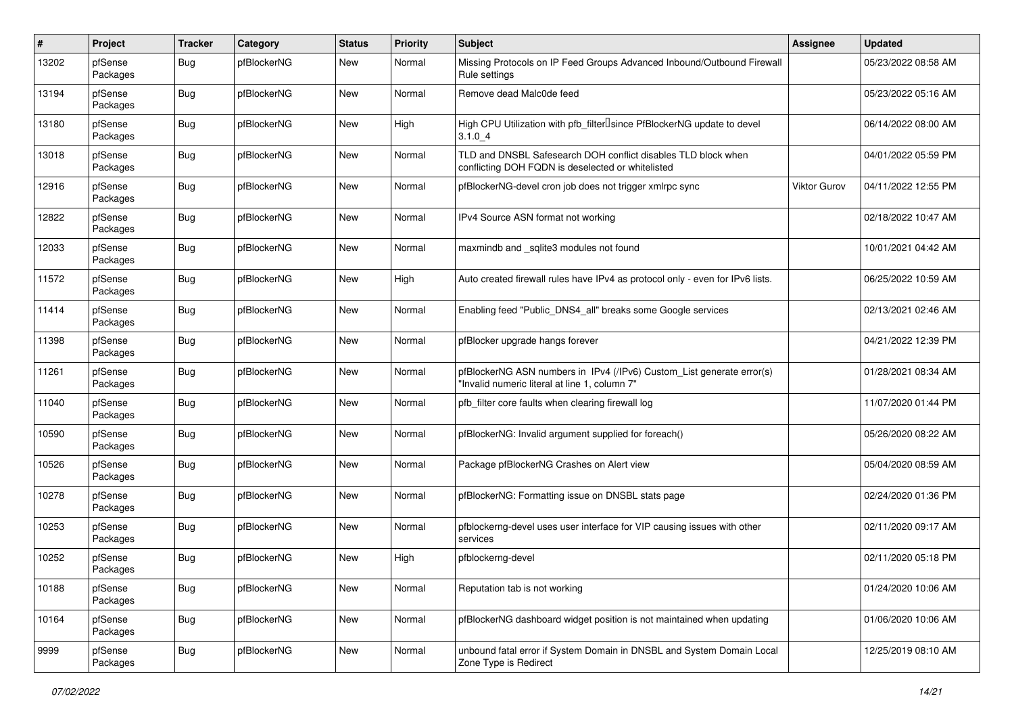| $\pmb{\#}$ | Project             | <b>Tracker</b> | Category    | <b>Status</b> | <b>Priority</b> | <b>Subject</b>                                                                                                         | Assignee            | <b>Updated</b>      |
|------------|---------------------|----------------|-------------|---------------|-----------------|------------------------------------------------------------------------------------------------------------------------|---------------------|---------------------|
| 13202      | pfSense<br>Packages | Bug            | pfBlockerNG | New           | Normal          | Missing Protocols on IP Feed Groups Advanced Inbound/Outbound Firewall<br>Rule settings                                |                     | 05/23/2022 08:58 AM |
| 13194      | pfSense<br>Packages | Bug            | pfBlockerNG | New           | Normal          | Remove dead Malc0de feed                                                                                               |                     | 05/23/2022 05:16 AM |
| 13180      | pfSense<br>Packages | Bug            | pfBlockerNG | New           | High            | High CPU Utilization with pfb_filterlsince PfBlockerNG update to devel<br>3.1.04                                       |                     | 06/14/2022 08:00 AM |
| 13018      | pfSense<br>Packages | <b>Bug</b>     | pfBlockerNG | New           | Normal          | TLD and DNSBL Safesearch DOH conflict disables TLD block when<br>conflicting DOH FQDN is deselected or whitelisted     |                     | 04/01/2022 05:59 PM |
| 12916      | pfSense<br>Packages | <b>Bug</b>     | pfBlockerNG | New           | Normal          | pfBlockerNG-devel cron job does not trigger xmlrpc sync                                                                | <b>Viktor Gurov</b> | 04/11/2022 12:55 PM |
| 12822      | pfSense<br>Packages | Bug            | pfBlockerNG | New           | Normal          | IPv4 Source ASN format not working                                                                                     |                     | 02/18/2022 10:47 AM |
| 12033      | pfSense<br>Packages | <b>Bug</b>     | pfBlockerNG | New           | Normal          | maxmindb and _sqlite3 modules not found                                                                                |                     | 10/01/2021 04:42 AM |
| 11572      | pfSense<br>Packages | Bug            | pfBlockerNG | New           | High            | Auto created firewall rules have IPv4 as protocol only - even for IPv6 lists.                                          |                     | 06/25/2022 10:59 AM |
| 11414      | pfSense<br>Packages | <b>Bug</b>     | pfBlockerNG | New           | Normal          | Enabling feed "Public DNS4 all" breaks some Google services                                                            |                     | 02/13/2021 02:46 AM |
| 11398      | pfSense<br>Packages | <b>Bug</b>     | pfBlockerNG | New           | Normal          | pfBlocker upgrade hangs forever                                                                                        |                     | 04/21/2022 12:39 PM |
| 11261      | pfSense<br>Packages | <b>Bug</b>     | pfBlockerNG | New           | Normal          | pfBlockerNG ASN numbers in IPv4 (/IPv6) Custom_List generate error(s)<br>"Invalid numeric literal at line 1, column 7" |                     | 01/28/2021 08:34 AM |
| 11040      | pfSense<br>Packages | Bug            | pfBlockerNG | New           | Normal          | pfb_filter core faults when clearing firewall log                                                                      |                     | 11/07/2020 01:44 PM |
| 10590      | pfSense<br>Packages | Bug            | pfBlockerNG | New           | Normal          | pfBlockerNG: Invalid argument supplied for foreach()                                                                   |                     | 05/26/2020 08:22 AM |
| 10526      | pfSense<br>Packages | <b>Bug</b>     | pfBlockerNG | New           | Normal          | Package pfBlockerNG Crashes on Alert view                                                                              |                     | 05/04/2020 08:59 AM |
| 10278      | pfSense<br>Packages | <b>Bug</b>     | pfBlockerNG | New           | Normal          | pfBlockerNG: Formatting issue on DNSBL stats page                                                                      |                     | 02/24/2020 01:36 PM |
| 10253      | pfSense<br>Packages | <b>Bug</b>     | pfBlockerNG | New           | Normal          | pfblockerng-devel uses user interface for VIP causing issues with other<br>services                                    |                     | 02/11/2020 09:17 AM |
| 10252      | pfSense<br>Packages | Bug            | pfBlockerNG | New           | High            | pfblockerng-devel                                                                                                      |                     | 02/11/2020 05:18 PM |
| 10188      | pfSense<br>Packages | <b>Bug</b>     | pfBlockerNG | New           | Normal          | Reputation tab is not working                                                                                          |                     | 01/24/2020 10:06 AM |
| 10164      | pfSense<br>Packages | <b>Bug</b>     | pfBlockerNG | New           | Normal          | pfBlockerNG dashboard widget position is not maintained when updating                                                  |                     | 01/06/2020 10:06 AM |
| 9999       | pfSense<br>Packages | <b>Bug</b>     | pfBlockerNG | New           | Normal          | unbound fatal error if System Domain in DNSBL and System Domain Local<br>Zone Type is Redirect                         |                     | 12/25/2019 08:10 AM |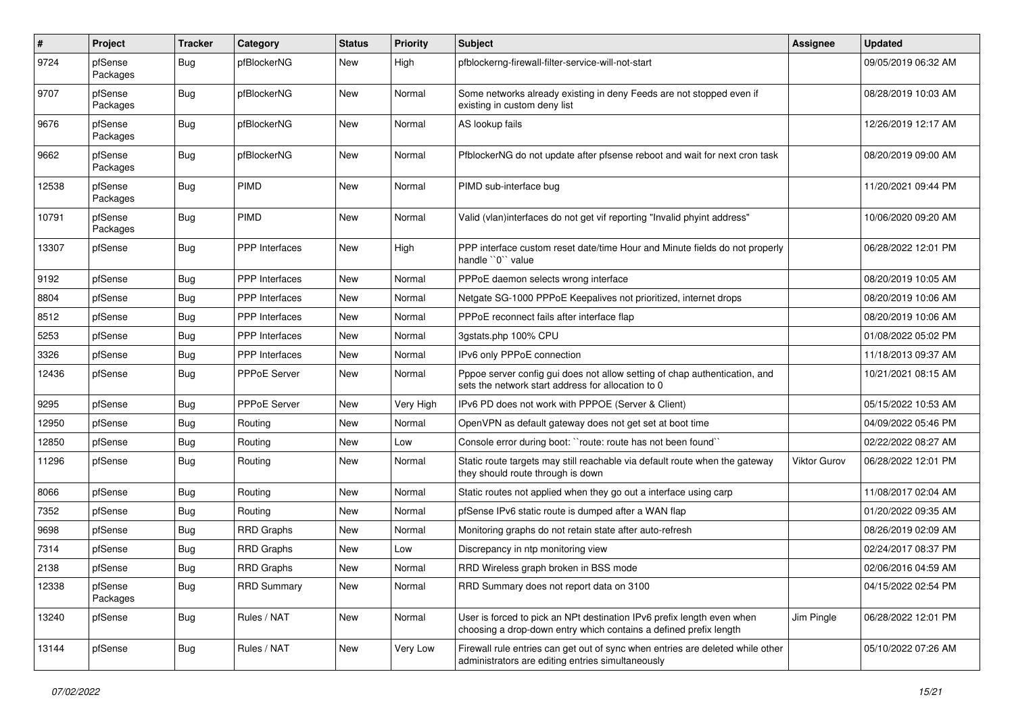| $\sharp$ | Project             | <b>Tracker</b> | Category              | <b>Status</b> | <b>Priority</b> | Subject                                                                                                                                     | Assignee            | <b>Updated</b>      |
|----------|---------------------|----------------|-----------------------|---------------|-----------------|---------------------------------------------------------------------------------------------------------------------------------------------|---------------------|---------------------|
| 9724     | pfSense<br>Packages | Bug            | pfBlockerNG           | New           | High            | pfblockerng-firewall-filter-service-will-not-start                                                                                          |                     | 09/05/2019 06:32 AM |
| 9707     | pfSense<br>Packages | Bug            | pfBlockerNG           | <b>New</b>    | Normal          | Some networks already existing in deny Feeds are not stopped even if<br>existing in custom deny list                                        |                     | 08/28/2019 10:03 AM |
| 9676     | pfSense<br>Packages | Bug            | pfBlockerNG           | <b>New</b>    | Normal          | AS lookup fails                                                                                                                             |                     | 12/26/2019 12:17 AM |
| 9662     | pfSense<br>Packages | Bug            | pfBlockerNG           | New           | Normal          | PfblockerNG do not update after pfsense reboot and wait for next cron task                                                                  |                     | 08/20/2019 09:00 AM |
| 12538    | pfSense<br>Packages | Bug            | <b>PIMD</b>           | <b>New</b>    | Normal          | PIMD sub-interface bug                                                                                                                      |                     | 11/20/2021 09:44 PM |
| 10791    | pfSense<br>Packages | Bug            | PIMD                  | <b>New</b>    | Normal          | Valid (vlan)interfaces do not get vif reporting "Invalid phyint address"                                                                    |                     | 10/06/2020 09:20 AM |
| 13307    | pfSense             | Bug            | PPP Interfaces        | New           | High            | PPP interface custom reset date/time Hour and Minute fields do not properly<br>handle "0" value                                             |                     | 06/28/2022 12:01 PM |
| 9192     | pfSense             | Bug            | <b>PPP</b> Interfaces | New           | Normal          | PPPoE daemon selects wrong interface                                                                                                        |                     | 08/20/2019 10:05 AM |
| 8804     | pfSense             | Bug            | <b>PPP</b> Interfaces | <b>New</b>    | Normal          | Netgate SG-1000 PPPoE Keepalives not prioritized, internet drops                                                                            |                     | 08/20/2019 10:06 AM |
| 8512     | pfSense             | Bug            | PPP Interfaces        | New           | Normal          | PPPoE reconnect fails after interface flap                                                                                                  |                     | 08/20/2019 10:06 AM |
| 5253     | pfSense             | Bug            | <b>PPP</b> Interfaces | New           | Normal          | 3gstats.php 100% CPU                                                                                                                        |                     | 01/08/2022 05:02 PM |
| 3326     | pfSense             | Bug            | PPP Interfaces        | New           | Normal          | IPv6 only PPPoE connection                                                                                                                  |                     | 11/18/2013 09:37 AM |
| 12436    | pfSense             | Bug            | PPPoE Server          | New           | Normal          | Pppoe server config gui does not allow setting of chap authentication, and<br>sets the network start address for allocation to 0            |                     | 10/21/2021 08:15 AM |
| 9295     | pfSense             | Bug            | <b>PPPoE Server</b>   | New           | Very High       | IPv6 PD does not work with PPPOE (Server & Client)                                                                                          |                     | 05/15/2022 10:53 AM |
| 12950    | pfSense             | Bug            | Routing               | New           | Normal          | OpenVPN as default gateway does not get set at boot time                                                                                    |                     | 04/09/2022 05:46 PM |
| 12850    | pfSense             | Bug            | Routing               | <b>New</b>    | Low             | Console error during boot: "route: route has not been found"                                                                                |                     | 02/22/2022 08:27 AM |
| 11296    | pfSense             | Bug            | Routing               | New           | Normal          | Static route targets may still reachable via default route when the gateway<br>they should route through is down                            | <b>Viktor Gurov</b> | 06/28/2022 12:01 PM |
| 8066     | pfSense             | Bug            | Routing               | New           | Normal          | Static routes not applied when they go out a interface using carp                                                                           |                     | 11/08/2017 02:04 AM |
| 7352     | pfSense             | Bug            | Routing               | New           | Normal          | pfSense IPv6 static route is dumped after a WAN flap                                                                                        |                     | 01/20/2022 09:35 AM |
| 9698     | pfSense             | Bug            | RRD Graphs            | New           | Normal          | Monitoring graphs do not retain state after auto-refresh                                                                                    |                     | 08/26/2019 02:09 AM |
| 7314     | pfSense             | Bug            | <b>RRD Graphs</b>     | New           | Low             | Discrepancy in ntp monitoring view                                                                                                          |                     | 02/24/2017 08:37 PM |
| 2138     | pfSense             | Bug            | <b>RRD Graphs</b>     | New           | Normal          | RRD Wireless graph broken in BSS mode                                                                                                       |                     | 02/06/2016 04:59 AM |
| 12338    | pfSense<br>Packages | <b>Bug</b>     | <b>RRD Summary</b>    | <b>New</b>    | Normal          | RRD Summary does not report data on 3100                                                                                                    |                     | 04/15/2022 02:54 PM |
| 13240    | pfSense             | <b>Bug</b>     | Rules / NAT           | New           | Normal          | User is forced to pick an NPt destination IPv6 prefix length even when<br>choosing a drop-down entry which contains a defined prefix length | Jim Pingle          | 06/28/2022 12:01 PM |
| 13144    | pfSense             | <b>Bug</b>     | Rules / NAT           | New           | Very Low        | Firewall rule entries can get out of sync when entries are deleted while other<br>administrators are editing entries simultaneously         |                     | 05/10/2022 07:26 AM |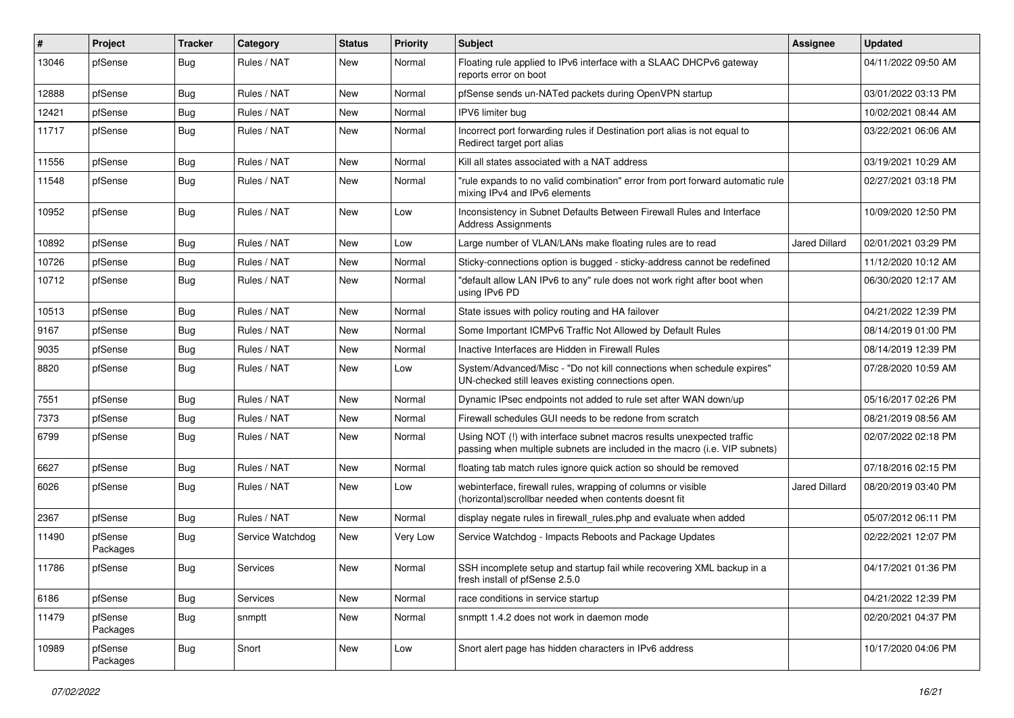| ∦     | Project             | <b>Tracker</b> | Category         | <b>Status</b> | <b>Priority</b> | <b>Subject</b>                                                                                                                                      | Assignee             | <b>Updated</b>      |
|-------|---------------------|----------------|------------------|---------------|-----------------|-----------------------------------------------------------------------------------------------------------------------------------------------------|----------------------|---------------------|
| 13046 | pfSense             | Bug            | Rules / NAT      | New           | Normal          | Floating rule applied to IPv6 interface with a SLAAC DHCPv6 gateway<br>reports error on boot                                                        |                      | 04/11/2022 09:50 AM |
| 12888 | pfSense             | Bug            | Rules / NAT      | <b>New</b>    | Normal          | pfSense sends un-NATed packets during OpenVPN startup                                                                                               |                      | 03/01/2022 03:13 PM |
| 12421 | pfSense             | Bug            | Rules / NAT      | New           | Normal          | IPV6 limiter bug                                                                                                                                    |                      | 10/02/2021 08:44 AM |
| 11717 | pfSense             | <b>Bug</b>     | Rules / NAT      | New           | Normal          | Incorrect port forwarding rules if Destination port alias is not equal to<br>Redirect target port alias                                             |                      | 03/22/2021 06:06 AM |
| 11556 | pfSense             | Bug            | Rules / NAT      | New           | Normal          | Kill all states associated with a NAT address                                                                                                       |                      | 03/19/2021 10:29 AM |
| 11548 | pfSense             | <b>Bug</b>     | Rules / NAT      | New           | Normal          | "rule expands to no valid combination" error from port forward automatic rule<br>mixing IPv4 and IPv6 elements                                      |                      | 02/27/2021 03:18 PM |
| 10952 | pfSense             | Bug            | Rules / NAT      | <b>New</b>    | Low             | Inconsistency in Subnet Defaults Between Firewall Rules and Interface<br><b>Address Assignments</b>                                                 |                      | 10/09/2020 12:50 PM |
| 10892 | pfSense             | Bug            | Rules / NAT      | <b>New</b>    | Low             | Large number of VLAN/LANs make floating rules are to read                                                                                           | <b>Jared Dillard</b> | 02/01/2021 03:29 PM |
| 10726 | pfSense             | <b>Bug</b>     | Rules / NAT      | New           | Normal          | Sticky-connections option is bugged - sticky-address cannot be redefined                                                                            |                      | 11/12/2020 10:12 AM |
| 10712 | pfSense             | Bug            | Rules / NAT      | New           | Normal          | "default allow LAN IPv6 to any" rule does not work right after boot when<br>using IPv6 PD                                                           |                      | 06/30/2020 12:17 AM |
| 10513 | pfSense             | Bug            | Rules / NAT      | <b>New</b>    | Normal          | State issues with policy routing and HA failover                                                                                                    |                      | 04/21/2022 12:39 PM |
| 9167  | pfSense             | Bug            | Rules / NAT      | New           | Normal          | Some Important ICMPv6 Traffic Not Allowed by Default Rules                                                                                          |                      | 08/14/2019 01:00 PM |
| 9035  | pfSense             | Bug            | Rules / NAT      | <b>New</b>    | Normal          | Inactive Interfaces are Hidden in Firewall Rules                                                                                                    |                      | 08/14/2019 12:39 PM |
| 8820  | pfSense             | Bug            | Rules / NAT      | New           | Low             | System/Advanced/Misc - "Do not kill connections when schedule expires"<br>UN-checked still leaves existing connections open.                        |                      | 07/28/2020 10:59 AM |
| 7551  | pfSense             | <b>Bug</b>     | Rules / NAT      | <b>New</b>    | Normal          | Dynamic IPsec endpoints not added to rule set after WAN down/up                                                                                     |                      | 05/16/2017 02:26 PM |
| 7373  | pfSense             | Bug            | Rules / NAT      | <b>New</b>    | Normal          | Firewall schedules GUI needs to be redone from scratch                                                                                              |                      | 08/21/2019 08:56 AM |
| 6799  | pfSense             | Bug            | Rules / NAT      | New           | Normal          | Using NOT (!) with interface subnet macros results unexpected traffic<br>passing when multiple subnets are included in the macro (i.e. VIP subnets) |                      | 02/07/2022 02:18 PM |
| 6627  | pfSense             | Bug            | Rules / NAT      | <b>New</b>    | Normal          | floating tab match rules ignore quick action so should be removed                                                                                   |                      | 07/18/2016 02:15 PM |
| 6026  | pfSense             | Bug            | Rules / NAT      | New           | Low             | webinterface, firewall rules, wrapping of columns or visible<br>(horizontal) scrollbar needed when contents doesnt fit                              | <b>Jared Dillard</b> | 08/20/2019 03:40 PM |
| 2367  | pfSense             | Bug            | Rules / NAT      | <b>New</b>    | Normal          | display negate rules in firewall_rules.php and evaluate when added                                                                                  |                      | 05/07/2012 06:11 PM |
| 11490 | pfSense<br>Packages | <b>Bug</b>     | Service Watchdog | New           | <b>Very Low</b> | Service Watchdog - Impacts Reboots and Package Updates                                                                                              |                      | 02/22/2021 12:07 PM |
| 11786 | pfSense             | Bug            | Services         | New           | Normal          | SSH incomplete setup and startup fail while recovering XML backup in a<br>fresh install of pfSense 2.5.0                                            |                      | 04/17/2021 01:36 PM |
| 6186  | pfSense             | Bug            | <b>Services</b>  | <b>New</b>    | Normal          | race conditions in service startup                                                                                                                  |                      | 04/21/2022 12:39 PM |
| 11479 | pfSense<br>Packages | Bug            | snmptt           | New           | Normal          | snmptt 1.4.2 does not work in daemon mode                                                                                                           |                      | 02/20/2021 04:37 PM |
| 10989 | pfSense<br>Packages | <b>Bug</b>     | Snort            | New           | Low             | Snort alert page has hidden characters in IPv6 address                                                                                              |                      | 10/17/2020 04:06 PM |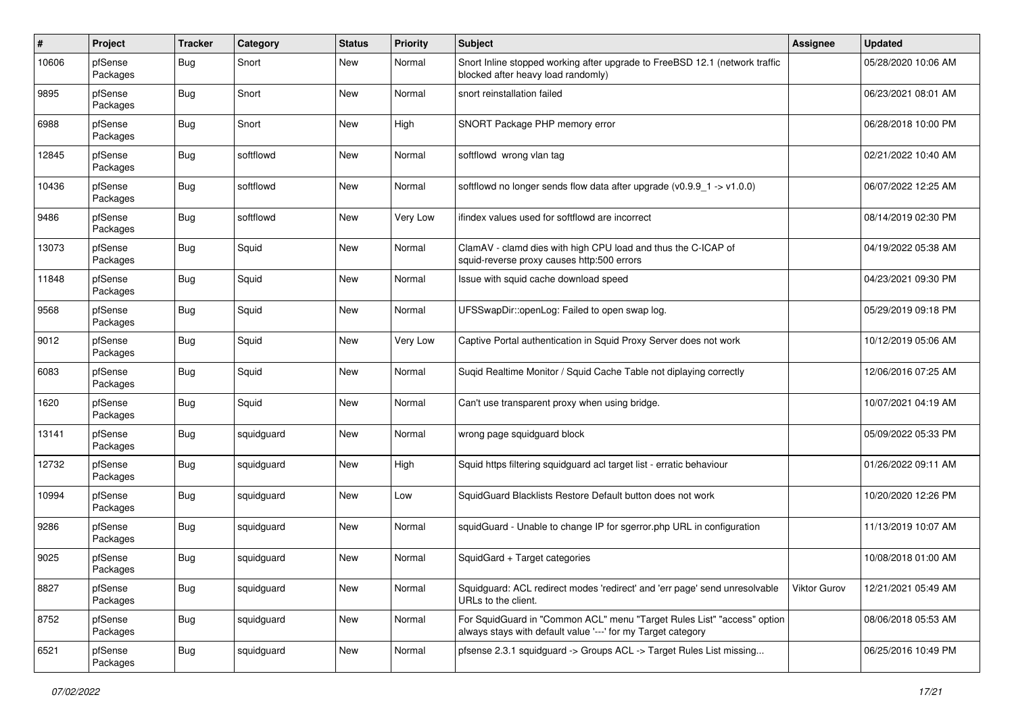| #     | Project             | <b>Tracker</b> | Category   | <b>Status</b> | <b>Priority</b> | <b>Subject</b>                                                                                                                          | Assignee            | <b>Updated</b>      |
|-------|---------------------|----------------|------------|---------------|-----------------|-----------------------------------------------------------------------------------------------------------------------------------------|---------------------|---------------------|
| 10606 | pfSense<br>Packages | Bug            | Snort      | New           | Normal          | Snort Inline stopped working after upgrade to FreeBSD 12.1 (network traffic<br>blocked after heavy load randomly)                       |                     | 05/28/2020 10:06 AM |
| 9895  | pfSense<br>Packages | Bug            | Snort      | New           | Normal          | snort reinstallation failed                                                                                                             |                     | 06/23/2021 08:01 AM |
| 6988  | pfSense<br>Packages | Bug            | Snort      | <b>New</b>    | High            | SNORT Package PHP memory error                                                                                                          |                     | 06/28/2018 10:00 PM |
| 12845 | pfSense<br>Packages | Bug            | softflowd  | New           | Normal          | softflowd wrong vlan tag                                                                                                                |                     | 02/21/2022 10:40 AM |
| 10436 | pfSense<br>Packages | Bug            | softflowd  | <b>New</b>    | Normal          | softflowd no longer sends flow data after upgrade $(v0.9.9 - 1 - v1.0.0)$                                                               |                     | 06/07/2022 12:25 AM |
| 9486  | pfSense<br>Packages | <b>Bug</b>     | softflowd  | <b>New</b>    | Very Low        | ifindex values used for softflowd are incorrect                                                                                         |                     | 08/14/2019 02:30 PM |
| 13073 | pfSense<br>Packages | Bug            | Squid      | New           | Normal          | ClamAV - clamd dies with high CPU load and thus the C-ICAP of<br>squid-reverse proxy causes http:500 errors                             |                     | 04/19/2022 05:38 AM |
| 11848 | pfSense<br>Packages | Bug            | Squid      | New           | Normal          | Issue with squid cache download speed                                                                                                   |                     | 04/23/2021 09:30 PM |
| 9568  | pfSense<br>Packages | Bug            | Squid      | <b>New</b>    | Normal          | UFSSwapDir::openLog: Failed to open swap log.                                                                                           |                     | 05/29/2019 09:18 PM |
| 9012  | pfSense<br>Packages | <b>Bug</b>     | Squid      | <b>New</b>    | Very Low        | Captive Portal authentication in Squid Proxy Server does not work                                                                       |                     | 10/12/2019 05:06 AM |
| 6083  | pfSense<br>Packages | <b>Bug</b>     | Squid      | <b>New</b>    | Normal          | Suqid Realtime Monitor / Squid Cache Table not diplaying correctly                                                                      |                     | 12/06/2016 07:25 AM |
| 1620  | pfSense<br>Packages | Bug            | Squid      | <b>New</b>    | Normal          | Can't use transparent proxy when using bridge.                                                                                          |                     | 10/07/2021 04:19 AM |
| 13141 | pfSense<br>Packages | <b>Bug</b>     | squidguard | New           | Normal          | wrong page squidguard block                                                                                                             |                     | 05/09/2022 05:33 PM |
| 12732 | pfSense<br>Packages | <b>Bug</b>     | squidguard | New           | High            | Squid https filtering squidguard acl target list - erratic behaviour                                                                    |                     | 01/26/2022 09:11 AM |
| 10994 | pfSense<br>Packages | Bug            | squidguard | New           | Low             | SquidGuard Blacklists Restore Default button does not work                                                                              |                     | 10/20/2020 12:26 PM |
| 9286  | pfSense<br>Packages | Bug            | squidguard | <b>New</b>    | Normal          | squidGuard - Unable to change IP for sgerror.php URL in configuration                                                                   |                     | 11/13/2019 10:07 AM |
| 9025  | pfSense<br>Packages | <b>Bug</b>     | squidguard | <b>New</b>    | Normal          | SquidGard + Target categories                                                                                                           |                     | 10/08/2018 01:00 AM |
| 8827  | pfSense<br>Packages | <b>Bug</b>     | squidguard | New           | Normal          | Squidguard: ACL redirect modes 'redirect' and 'err page' send unresolvable<br>URLs to the client.                                       | <b>Viktor Gurov</b> | 12/21/2021 05:49 AM |
| 8752  | pfSense<br>Packages | Bug            | squidguard | New           | Normal          | For SquidGuard in "Common ACL" menu "Target Rules List" "access" option<br>always stays with default value '---' for my Target category |                     | 08/06/2018 05:53 AM |
| 6521  | pfSense<br>Packages | <b>Bug</b>     | squidguard | New           | Normal          | pfsense 2.3.1 squidguard -> Groups ACL -> Target Rules List missing                                                                     |                     | 06/25/2016 10:49 PM |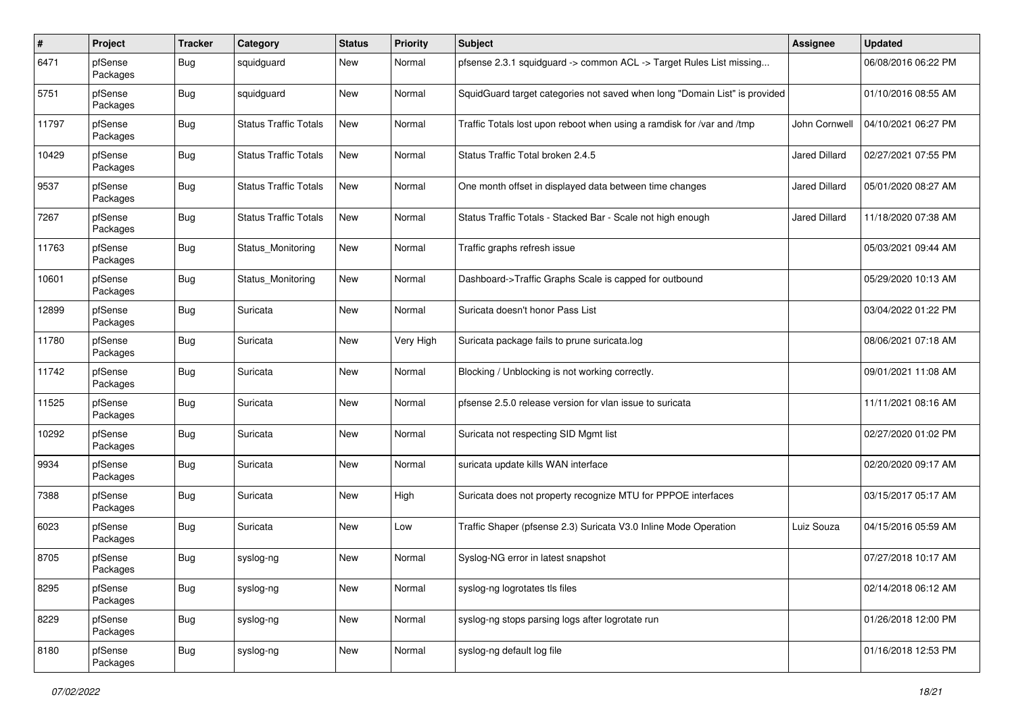| $\#$  | Project             | <b>Tracker</b> | Category                     | <b>Status</b> | <b>Priority</b> | Subject                                                                    | Assignee             | <b>Updated</b>      |
|-------|---------------------|----------------|------------------------------|---------------|-----------------|----------------------------------------------------------------------------|----------------------|---------------------|
| 6471  | pfSense<br>Packages | Bug            | squidguard                   | New           | Normal          | pfsense 2.3.1 squidguard -> common ACL -> Target Rules List missing        |                      | 06/08/2016 06:22 PM |
| 5751  | pfSense<br>Packages | Bug            | squidguard                   | <b>New</b>    | Normal          | SquidGuard target categories not saved when long "Domain List" is provided |                      | 01/10/2016 08:55 AM |
| 11797 | pfSense<br>Packages | Bug            | <b>Status Traffic Totals</b> | New           | Normal          | Traffic Totals lost upon reboot when using a ramdisk for /var and /tmp     | John Cornwell        | 04/10/2021 06:27 PM |
| 10429 | pfSense<br>Packages | Bug            | <b>Status Traffic Totals</b> | New           | Normal          | Status Traffic Total broken 2.4.5                                          | <b>Jared Dillard</b> | 02/27/2021 07:55 PM |
| 9537  | pfSense<br>Packages | <b>Bug</b>     | <b>Status Traffic Totals</b> | New           | Normal          | One month offset in displayed data between time changes                    | <b>Jared Dillard</b> | 05/01/2020 08:27 AM |
| 7267  | pfSense<br>Packages | <b>Bug</b>     | <b>Status Traffic Totals</b> | New           | Normal          | Status Traffic Totals - Stacked Bar - Scale not high enough                | Jared Dillard        | 11/18/2020 07:38 AM |
| 11763 | pfSense<br>Packages | <b>Bug</b>     | Status_Monitoring            | <b>New</b>    | Normal          | Traffic graphs refresh issue                                               |                      | 05/03/2021 09:44 AM |
| 10601 | pfSense<br>Packages | Bug            | Status_Monitoring            | New           | Normal          | Dashboard->Traffic Graphs Scale is capped for outbound                     |                      | 05/29/2020 10:13 AM |
| 12899 | pfSense<br>Packages | Bug            | Suricata                     | <b>New</b>    | Normal          | Suricata doesn't honor Pass List                                           |                      | 03/04/2022 01:22 PM |
| 11780 | pfSense<br>Packages | Bug            | Suricata                     | New           | Very High       | Suricata package fails to prune suricata.log                               |                      | 08/06/2021 07:18 AM |
| 11742 | pfSense<br>Packages | Bug            | Suricata                     | <b>New</b>    | Normal          | Blocking / Unblocking is not working correctly.                            |                      | 09/01/2021 11:08 AM |
| 11525 | pfSense<br>Packages | Bug            | Suricata                     | <b>New</b>    | Normal          | pfsense 2.5.0 release version for vlan issue to suricata                   |                      | 11/11/2021 08:16 AM |
| 10292 | pfSense<br>Packages | Bug            | Suricata                     | <b>New</b>    | Normal          | Suricata not respecting SID Mgmt list                                      |                      | 02/27/2020 01:02 PM |
| 9934  | pfSense<br>Packages | <b>Bug</b>     | Suricata                     | <b>New</b>    | Normal          | suricata update kills WAN interface                                        |                      | 02/20/2020 09:17 AM |
| 7388  | pfSense<br>Packages | Bug            | Suricata                     | New           | High            | Suricata does not property recognize MTU for PPPOE interfaces              |                      | 03/15/2017 05:17 AM |
| 6023  | pfSense<br>Packages | <b>Bug</b>     | Suricata                     | New           | Low             | Traffic Shaper (pfsense 2.3) Suricata V3.0 Inline Mode Operation           | Luiz Souza           | 04/15/2016 05:59 AM |
| 8705  | pfSense<br>Packages | Bug            | syslog-ng                    | <b>New</b>    | Normal          | Syslog-NG error in latest snapshot                                         |                      | 07/27/2018 10:17 AM |
| 8295  | pfSense<br>Packages | <b>Bug</b>     | syslog-ng                    | New           | Normal          | syslog-ng logrotates tls files                                             |                      | 02/14/2018 06:12 AM |
| 8229  | pfSense<br>Packages | <b>Bug</b>     | syslog-ng                    | <b>New</b>    | Normal          | syslog-ng stops parsing logs after logrotate run                           |                      | 01/26/2018 12:00 PM |
| 8180  | pfSense<br>Packages | <b>Bug</b>     | syslog-ng                    | New           | Normal          | syslog-ng default log file                                                 |                      | 01/16/2018 12:53 PM |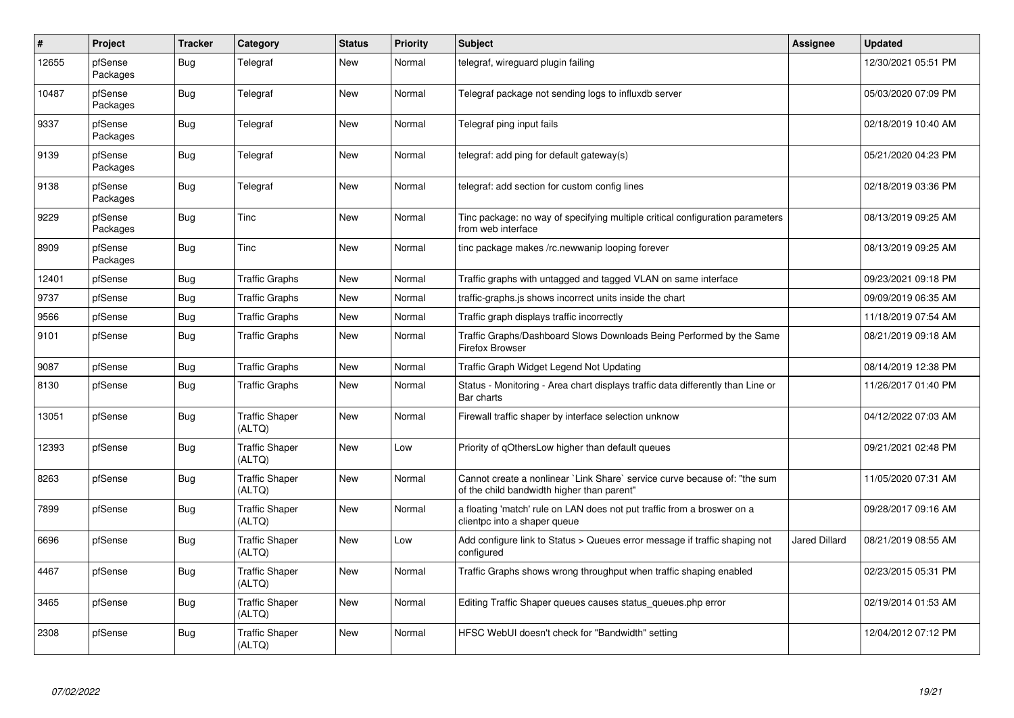| #     | Project                    | <b>Tracker</b> | Category                        | <b>Status</b> | <b>Priority</b> | <b>Subject</b>                                                                                                          | Assignee             | <b>Updated</b>      |
|-------|----------------------------|----------------|---------------------------------|---------------|-----------------|-------------------------------------------------------------------------------------------------------------------------|----------------------|---------------------|
| 12655 | pfSense<br><b>Packages</b> | Bug            | Telegraf                        | New           | Normal          | telegraf, wireguard plugin failing                                                                                      |                      | 12/30/2021 05:51 PM |
| 10487 | pfSense<br>Packages        | <b>Bug</b>     | Telegraf                        | <b>New</b>    | Normal          | Telegraf package not sending logs to influxdb server                                                                    |                      | 05/03/2020 07:09 PM |
| 9337  | pfSense<br>Packages        | <b>Bug</b>     | Telegraf                        | <b>New</b>    | Normal          | Telegraf ping input fails                                                                                               |                      | 02/18/2019 10:40 AM |
| 9139  | pfSense<br>Packages        | <b>Bug</b>     | Telegraf                        | <b>New</b>    | Normal          | telegraf: add ping for default gateway(s)                                                                               |                      | 05/21/2020 04:23 PM |
| 9138  | pfSense<br>Packages        | <b>Bug</b>     | Telegraf                        | <b>New</b>    | Normal          | telegraf: add section for custom config lines                                                                           |                      | 02/18/2019 03:36 PM |
| 9229  | pfSense<br>Packages        | Bug            | Tinc                            | <b>New</b>    | Normal          | Tinc package: no way of specifying multiple critical configuration parameters<br>from web interface                     |                      | 08/13/2019 09:25 AM |
| 8909  | pfSense<br>Packages        | <b>Bug</b>     | Tinc                            | <b>New</b>    | Normal          | tinc package makes /rc.newwanip looping forever                                                                         |                      | 08/13/2019 09:25 AM |
| 12401 | pfSense                    | <b>Bug</b>     | <b>Traffic Graphs</b>           | New           | Normal          | Traffic graphs with untagged and tagged VLAN on same interface                                                          |                      | 09/23/2021 09:18 PM |
| 9737  | pfSense                    | Bug            | <b>Traffic Graphs</b>           | <b>New</b>    | Normal          | traffic-graphs.js shows incorrect units inside the chart                                                                |                      | 09/09/2019 06:35 AM |
| 9566  | pfSense                    | <b>Bug</b>     | <b>Traffic Graphs</b>           | New           | Normal          | Traffic graph displays traffic incorrectly                                                                              |                      | 11/18/2019 07:54 AM |
| 9101  | pfSense                    | Bug            | <b>Traffic Graphs</b>           | New           | Normal          | Traffic Graphs/Dashboard Slows Downloads Being Performed by the Same<br><b>Firefox Browser</b>                          |                      | 08/21/2019 09:18 AM |
| 9087  | pfSense                    | Bug            | <b>Traffic Graphs</b>           | <b>New</b>    | Normal          | Traffic Graph Widget Legend Not Updating                                                                                |                      | 08/14/2019 12:38 PM |
| 8130  | pfSense                    | <b>Bug</b>     | <b>Traffic Graphs</b>           | <b>New</b>    | Normal          | Status - Monitoring - Area chart displays traffic data differently than Line or<br>Bar charts                           |                      | 11/26/2017 01:40 PM |
| 13051 | pfSense                    | Bug            | <b>Traffic Shaper</b><br>(ALTQ) | <b>New</b>    | Normal          | Firewall traffic shaper by interface selection unknow                                                                   |                      | 04/12/2022 07:03 AM |
| 12393 | pfSense                    | <b>Bug</b>     | <b>Traffic Shaper</b><br>(ALTQ) | <b>New</b>    | Low             | Priority of gOthersLow higher than default queues                                                                       |                      | 09/21/2021 02:48 PM |
| 8263  | pfSense                    | <b>Bug</b>     | <b>Traffic Shaper</b><br>(ALTQ) | <b>New</b>    | Normal          | Cannot create a nonlinear `Link Share` service curve because of: "the sum<br>of the child bandwidth higher than parent" |                      | 11/05/2020 07:31 AM |
| 7899  | pfSense                    | <b>Bug</b>     | <b>Traffic Shaper</b><br>(ALTQ) | New           | Normal          | a floating 'match' rule on LAN does not put traffic from a broswer on a<br>clientpc into a shaper queue                 |                      | 09/28/2017 09:16 AM |
| 6696  | pfSense                    | <b>Bug</b>     | <b>Traffic Shaper</b><br>(ALTQ) | New           | Low             | Add configure link to Status > Queues error message if traffic shaping not<br>configured                                | <b>Jared Dillard</b> | 08/21/2019 08:55 AM |
| 4467  | pfSense                    | Bug            | <b>Traffic Shaper</b><br>(ALTQ) | New           | Normal          | Traffic Graphs shows wrong throughput when traffic shaping enabled                                                      |                      | 02/23/2015 05:31 PM |
| 3465  | pfSense                    | Bug            | <b>Traffic Shaper</b><br>(ALTQ) | New           | Normal          | Editing Traffic Shaper queues causes status_queues.php error                                                            |                      | 02/19/2014 01:53 AM |
| 2308  | pfSense                    | Bug            | <b>Traffic Shaper</b><br>(ALTQ) | <b>New</b>    | Normal          | HFSC WebUI doesn't check for "Bandwidth" setting                                                                        |                      | 12/04/2012 07:12 PM |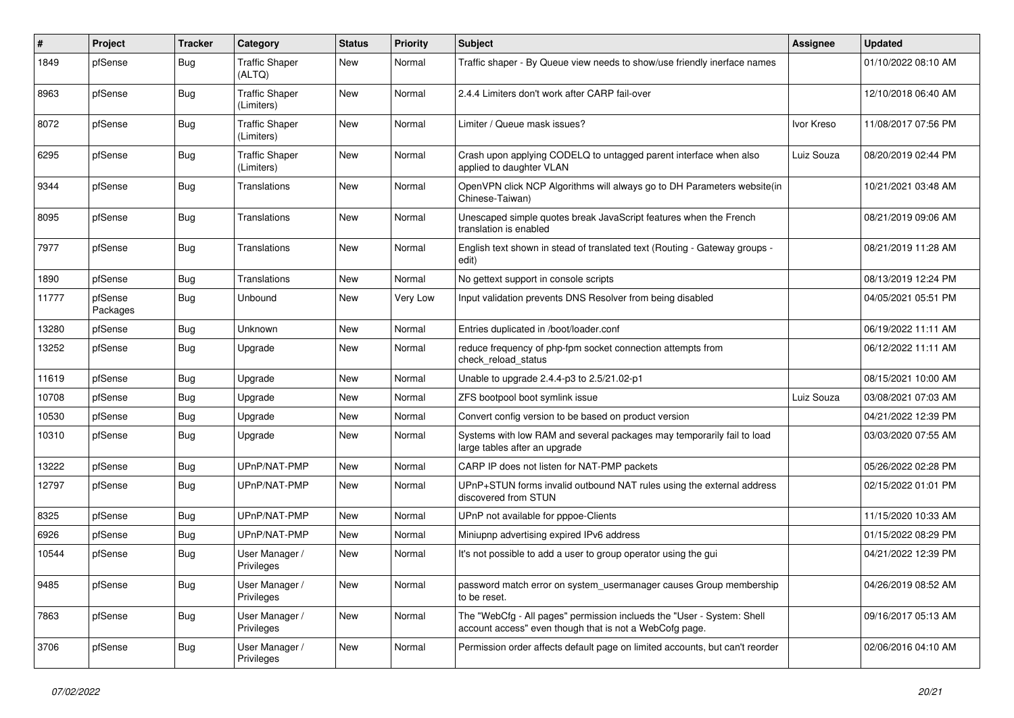| #     | Project             | <b>Tracker</b> | Category                            | <b>Status</b> | <b>Priority</b> | <b>Subject</b>                                                                                                                    | Assignee   | <b>Updated</b>      |
|-------|---------------------|----------------|-------------------------------------|---------------|-----------------|-----------------------------------------------------------------------------------------------------------------------------------|------------|---------------------|
| 1849  | pfSense             | Bug            | <b>Traffic Shaper</b><br>(ALTQ)     | New           | Normal          | Traffic shaper - By Queue view needs to show/use friendly inerface names                                                          |            | 01/10/2022 08:10 AM |
| 8963  | pfSense             | Bug            | <b>Traffic Shaper</b><br>(Limiters) | <b>New</b>    | Normal          | 2.4.4 Limiters don't work after CARP fail-over                                                                                    |            | 12/10/2018 06:40 AM |
| 8072  | pfSense             | Bug            | <b>Traffic Shaper</b><br>(Limiters) | <b>New</b>    | Normal          | Limiter / Queue mask issues?                                                                                                      | Ivor Kreso | 11/08/2017 07:56 PM |
| 6295  | pfSense             | Bug            | <b>Traffic Shaper</b><br>(Limiters) | New           | Normal          | Crash upon applying CODELQ to untagged parent interface when also<br>applied to daughter VLAN                                     | Luiz Souza | 08/20/2019 02:44 PM |
| 9344  | pfSense             | Bug            | Translations                        | <b>New</b>    | Normal          | OpenVPN click NCP Algorithms will always go to DH Parameters website(in<br>Chinese-Taiwan)                                        |            | 10/21/2021 03:48 AM |
| 8095  | pfSense             | Bug            | <b>Translations</b>                 | New           | Normal          | Unescaped simple quotes break JavaScript features when the French<br>translation is enabled                                       |            | 08/21/2019 09:06 AM |
| 7977  | pfSense             | Bug            | <b>Translations</b>                 | New           | Normal          | English text shown in stead of translated text (Routing - Gateway groups -<br>edit)                                               |            | 08/21/2019 11:28 AM |
| 1890  | pfSense             | Bug            | Translations                        | New           | Normal          | No gettext support in console scripts                                                                                             |            | 08/13/2019 12:24 PM |
| 11777 | pfSense<br>Packages | Bug            | Unbound                             | New           | Very Low        | Input validation prevents DNS Resolver from being disabled                                                                        |            | 04/05/2021 05:51 PM |
| 13280 | pfSense             | Bug            | Unknown                             | <b>New</b>    | Normal          | Entries duplicated in /boot/loader.conf                                                                                           |            | 06/19/2022 11:11 AM |
| 13252 | pfSense             | Bug            | Upgrade                             | New           | Normal          | reduce frequency of php-fpm socket connection attempts from<br>check reload status                                                |            | 06/12/2022 11:11 AM |
| 11619 | pfSense             | Bug            | Upgrade                             | <b>New</b>    | Normal          | Unable to upgrade 2.4.4-p3 to 2.5/21.02-p1                                                                                        |            | 08/15/2021 10:00 AM |
| 10708 | pfSense             | Bug            | Upgrade                             | New           | Normal          | ZFS bootpool boot symlink issue                                                                                                   | Luiz Souza | 03/08/2021 07:03 AM |
| 10530 | pfSense             | Bug            | Upgrade                             | New           | Normal          | Convert config version to be based on product version                                                                             |            | 04/21/2022 12:39 PM |
| 10310 | pfSense             | Bug            | Upgrade                             | New           | Normal          | Systems with low RAM and several packages may temporarily fail to load<br>large tables after an upgrade                           |            | 03/03/2020 07:55 AM |
| 13222 | pfSense             | Bug            | UPnP/NAT-PMP                        | New           | Normal          | CARP IP does not listen for NAT-PMP packets                                                                                       |            | 05/26/2022 02:28 PM |
| 12797 | pfSense             | Bug            | UPnP/NAT-PMP                        | New           | Normal          | UPnP+STUN forms invalid outbound NAT rules using the external address<br>discovered from STUN                                     |            | 02/15/2022 01:01 PM |
| 8325  | pfSense             | Bug            | UPnP/NAT-PMP                        | <b>New</b>    | Normal          | UPnP not available for pppoe-Clients                                                                                              |            | 11/15/2020 10:33 AM |
| 6926  | pfSense             | Bug            | UPnP/NAT-PMP                        | New           | Normal          | Miniupnp advertising expired IPv6 address                                                                                         |            | 01/15/2022 08:29 PM |
| 10544 | pfSense             | Bug            | User Manager /<br>Privileges        | New           | Normal          | It's not possible to add a user to group operator using the gui                                                                   |            | 04/21/2022 12:39 PM |
| 9485  | pfSense             | <b>Bug</b>     | User Manager /<br>Privileges        | New           | Normal          | password match error on system_usermanager causes Group membership<br>to be reset.                                                |            | 04/26/2019 08:52 AM |
| 7863  | pfSense             | Bug            | User Manager /<br>Privileges        | New           | Normal          | The "WebCfg - All pages" permission inclueds the "User - System: Shell<br>account access" even though that is not a WebCofg page. |            | 09/16/2017 05:13 AM |
| 3706  | pfSense             | <b>Bug</b>     | User Manager /<br>Privileges        | New           | Normal          | Permission order affects default page on limited accounts, but can't reorder                                                      |            | 02/06/2016 04:10 AM |